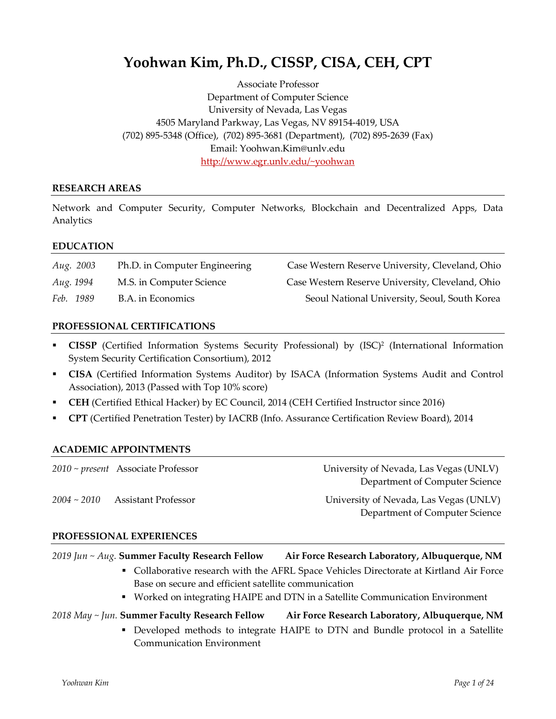# **Yoohwan Kim, Ph.D., CISSP, CISA, CEH, CPT**

Associate Professor Department of Computer Science University of Nevada, Las Vegas 4505 Maryland Parkway, Las Vegas, NV 89154-4019, USA (702) 895-5348 (Office), (702) 895-3681 (Department), (702) 895-2639 (Fax) Email: Yoohwan.Kim@unlv.edu http://www.egr.unlv.edu/~yoohwan

#### **RESEARCH AREAS**

Network and Computer Security, Computer Networks, Blockchain and Decentralized Apps, Data Analytics

#### **EDUCATION**

| <i>Aug.</i> 2003 | Ph.D. in Computer Engineering | Case Western Reserve University, Cleveland, Ohio |
|------------------|-------------------------------|--------------------------------------------------|
| Aug. 1994        | M.S. in Computer Science      | Case Western Reserve University, Cleveland, Ohio |
| Feb. 1989        | B.A. in Economics             | Seoul National University, Seoul, South Korea    |

#### **PROFESSIONAL CERTIFICATIONS**

- § **CISSP** (Certified Information Systems Security Professional) by (ISC)2 (International Information System Security Certification Consortium), 2012
- § **CISA** (Certified Information Systems Auditor) by ISACA (Information Systems Audit and Control Association), 2013 (Passed with Top 10% score)
- § **CEH** (Certified Ethical Hacker) by EC Council, 2014 (CEH Certified Instructor since 2016)
- § **CPT** (Certified Penetration Tester) by IACRB (Info. Assurance Certification Review Board), 2014

#### **ACADEMIC APPOINTMENTS**

|                  | $2010 \sim present$ Associate Professor | University of Nevada, Las Vegas (UNLV)<br>Department of Computer Science |
|------------------|-----------------------------------------|--------------------------------------------------------------------------|
| $2004 \sim 2010$ | <b>Assistant Professor</b>              | University of Nevada, Las Vegas (UNLV)<br>Department of Computer Science |

#### **PROFESSIONAL EXPERIENCES**

*2019 Jun ~ Aug.* **Summer Faculty Research Fellow Air Force Research Laboratory, Albuquerque, NM**

- Collaborative research with the AFRL Space Vehicles Directorate at Kirtland Air Force Base on secure and efficient satellite communication
- § Worked on integrating HAIPE and DTN in a Satellite Communication Environment

#### *2018 May ~ Jun.* **Summer Faculty Research Fellow Air Force Research Laboratory, Albuquerque, NM**

§ Developed methods to integrate HAIPE to DTN and Bundle protocol in a Satellite Communication Environment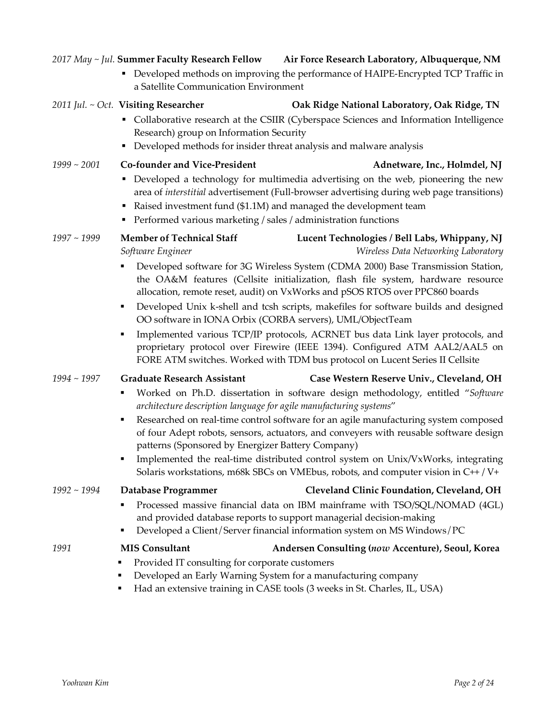#### *2017 May ~ Jul.* **Summer Faculty Research Fellow Air Force Research Laboratory, Albuquerque, NM**

§ Developed methods on improving the performance of HAIPE-Encrypted TCP Traffic in a Satellite Communication Environment

#### 2011 Jul. ~ Oct. Visiting Researcher **Oak Ridge National Laboratory, Oak Ridge, TN**

- Collaborative research at the CSIIR (Cyberspace Sciences and Information Intelligence Research) group on Information Security
- § Developed methods for insider threat analysis and malware analysis

### *1999 ~ 2001* **Co-founder and Vice-President Adnetware, Inc., Holmdel, NJ**

- § Developed a technology for multimedia advertising on the web, pioneering the new area of *interstitial* advertisement (Full-browser advertising during web page transitions)
- Raised investment fund (\$1.1M) and managed the development team
- Performed various marketing / sales / administration functions

## *1997 ~ 1999* **Member of Technical Staff Lucent Technologies / Bell Labs, Whippany, NJ** *Software Engineer Wireless Data Networking Laboratory*

- § Developed software for 3G Wireless System (CDMA 2000) Base Transmission Station, the OA&M features (Cellsite initialization, flash file system, hardware resource allocation, remote reset, audit) on VxWorks and pSOS RTOS over PPC860 boards
- Developed Unix k-shell and tcsh scripts, makefiles for software builds and designed OO software in IONA Orbix (CORBA servers), UML/ObjectTeam
- § Implemented various TCP/IP protocols, ACRNET bus data Link layer protocols, and proprietary protocol over Firewire (IEEE 1394). Configured ATM AAL2/AAL5 on FORE ATM switches. Worked with TDM bus protocol on Lucent Series II Cellsite

## *1994 ~ 1997* **Graduate Research Assistant Case Western Reserve Univ., Cleveland, OH**

- § Worked on Ph.D. dissertation in software design methodology, entitled "*Software architecture description language for agile manufacturing systems*"
- § Researched on real-time control software for an agile manufacturing system composed of four Adept robots, sensors, actuators, and conveyers with reusable software design patterns (Sponsored by Energizer Battery Company)
- Implemented the real-time distributed control system on Unix/VxWorks, integrating Solaris workstations, m68k SBCs on VMEbus, robots, and computer vision in C++ / V+

§ Processed massive financial data on IBM mainframe with TSO/SQL/NOMAD (4GL) and provided database reports to support managerial decision-making

- Developed an Early Warning System for a manufacturing company
- § Had an extensive training in CASE tools (3 weeks in St. Charles, IL, USA)

*1992 ~ 1994* **Database Programmer Cleveland Clinic Foundation, Cleveland, OH** ■ Developed a Client/Server financial information system on MS Windows/PC *1991* **MIS Consultant Andersen Consulting (***now* **Accenture), Seoul, Korea** ■ Provided IT consulting for corporate customers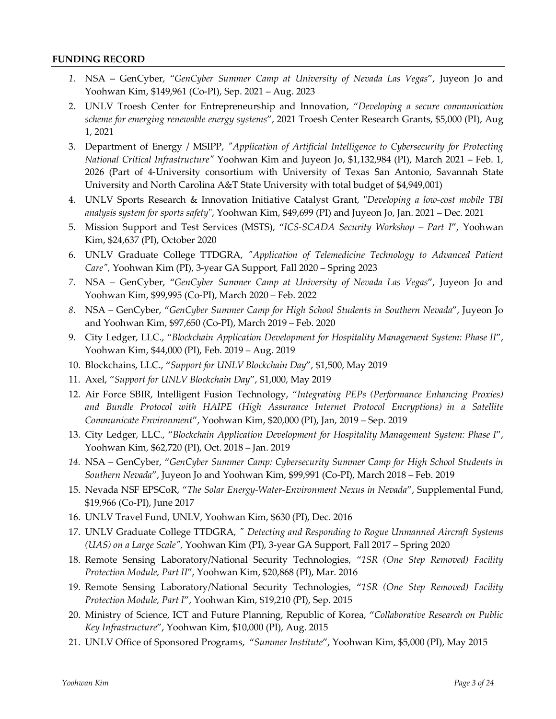#### **FUNDING RECORD**

- *1.* NSA GenCyber, "*GenCyber Summer Camp at University of Nevada Las Vegas*", Juyeon Jo and Yoohwan Kim, \$149,961 (Co-PI), Sep. 2021 – Aug. 2023
- 2. UNLV Troesh Center for Entrepreneurship and Innovation, "*Developing a secure communication scheme for emerging renewable energy systems*", 2021 Troesh Center Research Grants, \$5,000 (PI), Aug 1, 2021
- 3. Department of Energy / MSIPP, *"Application of Artificial Intelligence to Cybersecurity for Protecting National Critical Infrastructure"* Yoohwan Kim and Juyeon Jo, \$1,132,984 (PI), March 2021 – Feb. 1, 2026 (Part of 4-University consortium with University of Texas San Antonio, Savannah State University and North Carolina A&T State University with total budget of \$4,949,001)
- 4. UNLV Sports Research & Innovation Initiative Catalyst Grant, "*Developing a low-cost mobile TBI analysis system for sports safety*", Yoohwan Kim, \$49,699 (PI) and Juyeon Jo, Jan. 2021 – Dec. 2021
- 5. Mission Support and Test Services (MSTS), "*ICS-SCADA Security Workshop – Part I*", Yoohwan Kim, \$24,637 (PI), October 2020
- 6. UNLV Graduate College TTDGRA, *"Application of Telemedicine Technology to Advanced Patient Care",* Yoohwan Kim (PI), 3-year GA Support*,* Fall 2020 – Spring 2023
- *7.* NSA GenCyber, "*GenCyber Summer Camp at University of Nevada Las Vegas*", Juyeon Jo and Yoohwan Kim, \$99,995 (Co-PI), March 2020 – Feb. 2022
- *8.* NSA GenCyber, "*GenCyber Summer Camp for High School Students in Southern Nevada*", Juyeon Jo and Yoohwan Kim, \$97,650 (Co-PI), March 2019 – Feb. 2020
- 9. City Ledger, LLC., "*Blockchain Application Development for Hospitality Management System: Phase II*", Yoohwan Kim, \$44,000 (PI), Feb. 2019 – Aug. 2019
- 10. Blockchains, LLC., "*Support for UNLV Blockchain Day*", \$1,500, May 2019
- 11. Axel, "*Support for UNLV Blockchain Day*", \$1,000, May 2019
- 12. Air Force SBIR, Intelligent Fusion Technology, "*Integrating PEPs (Performance Enhancing Proxies) and Bundle Protocol with HAIPE (High Assurance Internet Protocol Encryptions) in a Satellite Communicate Environment*", Yoohwan Kim, \$20,000 (PI), Jan, 2019 – Sep. 2019
- 13. City Ledger, LLC., "*Blockchain Application Development for Hospitality Management System: Phase I*", Yoohwan Kim, \$62,720 (PI), Oct. 2018 – Jan. 2019
- *14.* NSA GenCyber, "*GenCyber Summer Camp: Cybersecurity Summer Camp for High School Students in Southern Nevada*", Juyeon Jo and Yoohwan Kim, \$99,991 (Co-PI), March 2018 – Feb. 2019
- 15. Nevada NSF EPSCoR, "*The Solar Energy-Water-Environment Nexus in Nevada*", Supplemental Fund, \$19,966 (Co-PI), June 2017
- 16. UNLV Travel Fund, UNLV, Yoohwan Kim, \$630 (PI), Dec. 2016
- 17. UNLV Graduate College TTDGRA, *" Detecting and Responding to Rogue Unmanned Aircraft Systems (UAS) on a Large Scale",* Yoohwan Kim (PI), 3-year GA Support*,* Fall 2017 – Spring 2020
- 18. Remote Sensing Laboratory/National Security Technologies, "*1SR (One Step Removed) Facility Protection Module, Part II*", Yoohwan Kim, \$20,868 (PI), Mar. 2016
- 19. Remote Sensing Laboratory/National Security Technologies, "*1SR (One Step Removed) Facility Protection Module, Part I*", Yoohwan Kim, \$19,210 (PI), Sep. 2015
- 20. Ministry of Science, ICT and Future Planning, Republic of Korea, "*Collaborative Research on Public Key Infrastructure*", Yoohwan Kim, \$10,000 (PI), Aug. 2015
- 21. UNLV Office of Sponsored Programs, "*Summer Institute*", Yoohwan Kim, \$5,000 (PI), May 2015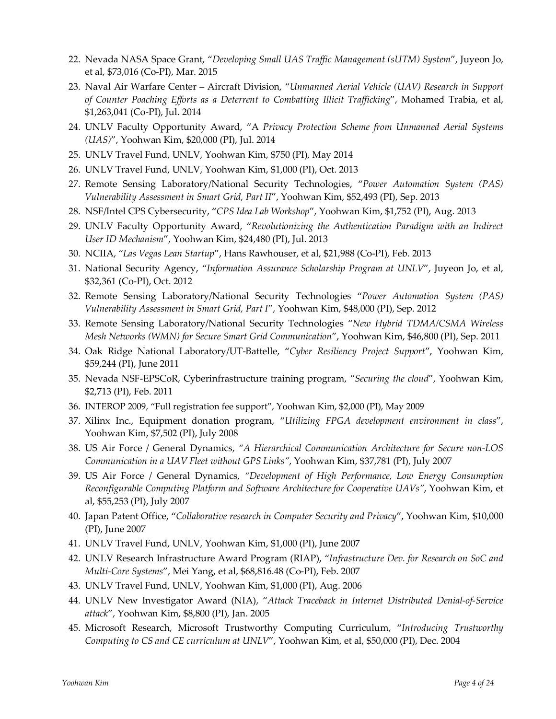- 22. Nevada NASA Space Grant, "*Developing Small UAS Traffic Management (sUTM) System*", Juyeon Jo, et al, \$73,016 (Co-PI), Mar. 2015
- 23. Naval Air Warfare Center Aircraft Division, "*Unmanned Aerial Vehicle (UAV) Research in Support of Counter Poaching Efforts as a Deterrent to Combatting Illicit Trafficking*", Mohamed Trabia, et al, \$1,263,041 (Co-PI), Jul. 2014
- 24. UNLV Faculty Opportunity Award, "A *Privacy Protection Scheme from Unmanned Aerial Systems (UAS)*", Yoohwan Kim, \$20,000 (PI), Jul. 2014
- 25. UNLV Travel Fund, UNLV, Yoohwan Kim, \$750 (PI), May 2014
- 26. UNLV Travel Fund, UNLV, Yoohwan Kim, \$1,000 (PI), Oct. 2013
- 27. Remote Sensing Laboratory/National Security Technologies, "*Power Automation System (PAS) Vulnerability Assessment in Smart Grid, Part II*", Yoohwan Kim, \$52,493 (PI), Sep. 2013
- 28. NSF/Intel CPS Cybersecurity, "*CPS Idea Lab Workshop*", Yoohwan Kim, \$1,752 (PI), Aug. 2013
- 29. UNLV Faculty Opportunity Award, "*Revolutionizing the Authentication Paradigm with an Indirect User ID Mechanism*", Yoohwan Kim, \$24,480 (PI), Jul. 2013
- 30. NCIIA, "*Las Vegas Lean Startup*", Hans Rawhouser, et al, \$21,988 (Co-PI), Feb. 2013
- 31. National Security Agency, "*Information Assurance Scholarship Program at UNLV*", Juyeon Jo, et al, \$32,361 (Co-PI), Oct. 2012
- 32. Remote Sensing Laboratory/National Security Technologies "*Power Automation System (PAS) Vulnerability Assessment in Smart Grid, Part I*", Yoohwan Kim, \$48,000 (PI), Sep. 2012
- 33. Remote Sensing Laboratory/National Security Technologies "*New Hybrid TDMA/CSMA Wireless Mesh Networks (WMN) for Secure Smart Grid Communication*", Yoohwan Kim, \$46,800 (PI), Sep. 2011
- 34. Oak Ridge National Laboratory/UT-Battelle, "*Cyber Resiliency Project Support*", Yoohwan Kim, \$59,244 (PI), June 2011
- 35. Nevada NSF-EPSCoR, Cyberinfrastructure training program, "*Securing the cloud*", Yoohwan Kim, \$2,713 (PI), Feb. 2011
- 36. INTEROP 2009, "Full registration fee support", Yoohwan Kim, \$2,000 (PI), May 2009
- 37. Xilinx Inc., Equipment donation program, "*Utilizing FPGA development environment in class*", Yoohwan Kim, \$7,502 (PI), July 2008
- 38. US Air Force / General Dynamics, *"A Hierarchical Communication Architecture for Secure non-LOS Communication in a UAV Fleet without GPS Links"*, Yoohwan Kim, \$37,781 (PI), July 2007
- 39. US Air Force / General Dynamics, *"Development of High Performance, Low Energy Consumption Reconfigurable Computing Platform and Software Architecture for Cooperative UAVs"*, Yoohwan Kim, et al, \$55,253 (PI), July 2007
- 40. Japan Patent Office, "*Collaborative research in Computer Security and Privacy*", Yoohwan Kim, \$10,000 (PI), June 2007
- 41. UNLV Travel Fund, UNLV, Yoohwan Kim, \$1,000 (PI), June 2007
- 42. UNLV Research Infrastructure Award Program (RIAP), "*Infrastructure Dev. for Research on SoC and Multi-Core Systems*", Mei Yang, et al, \$68,816.48 (Co-PI), Feb. 2007
- 43. UNLV Travel Fund, UNLV, Yoohwan Kim, \$1,000 (PI), Aug. 2006
- 44. UNLV New Investigator Award (NIA), "*Attack Traceback in Internet Distributed Denial-of-Service attack*", Yoohwan Kim, \$8,800 (PI), Jan. 2005
- 45. Microsoft Research, Microsoft Trustworthy Computing Curriculum, "*Introducing Trustworthy Computing to CS and CE curriculum at UNLV*", Yoohwan Kim, et al, \$50,000 (PI), Dec. 2004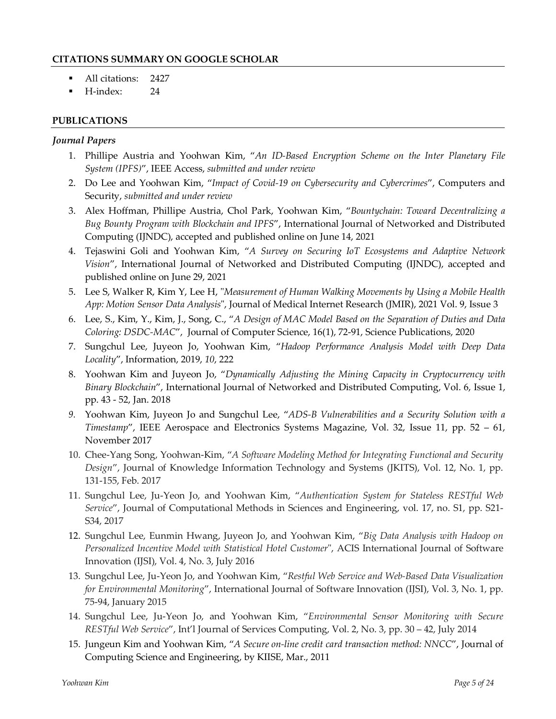#### **CITATIONS SUMMARY ON GOOGLE SCHOLAR**

- All citations: 2427
- § H-index: 24

### **PUBLICATIONS**

#### *Journal Papers*

- 1. Phillipe Austria and Yoohwan Kim, "*An ID-Based Encryption Scheme on the Inter Planetary File System (IPFS)*", IEEE Access, *submitted and under review*
- 2. Do Lee and Yoohwan Kim, "*Impact of Covid-19 on Cybersecurity and Cybercrimes*", Computers and Security, *submitted and under review*
- 3. Alex Hoffman, Phillipe Austria, Chol Park, Yoohwan Kim, "*Bountychain: Toward Decentralizing a Bug Bounty Program with Blockchain and IPFS*", International Journal of Networked and Distributed Computing (IJNDC), accepted and published online on June 14, 2021
- 4. Tejaswini Goli and Yoohwan Kim, "*A Survey on Securing IoT Ecosystems and Adaptive Network Vision*", International Journal of Networked and Distributed Computing (IJNDC), accepted and published online on June 29, 2021
- 5. Lee S, Walker R, Kim Y, Lee H, "*Measurement of Human Walking Movements by Using a Mobile Health App: Motion Sensor Data Analysis*", Journal of Medical Internet Research (JMIR), 2021 Vol. 9, Issue 3
- 6. Lee, S., Kim, Y., Kim, J., Song, C., "*A Design of MAC Model Based on the Separation of Duties and Data Coloring: DSDC-MAC*", Journal of Computer Science, 16(1), 72-91, Science Publications, 2020
- 7. Sungchul Lee, Juyeon Jo, Yoohwan Kim, "*Hadoop Performance Analysis Model with Deep Data Locality*", Information, 2019, *10*, 222
- 8. Yoohwan Kim and Juyeon Jo, "*Dynamically Adjusting the Mining Capacity in Cryptocurrency with Binary Blockchain*", International Journal of Networked and Distributed Computing, Vol. 6, Issue 1, pp. 43 - 52, Jan. 2018
- *9.* Yoohwan Kim, Juyeon Jo and Sungchul Lee, "*ADS-B Vulnerabilities and a Security Solution with a Timestamp*", IEEE Aerospace and Electronics Systems Magazine, Vol. 32, Issue 11, pp. 52 – 61, November 2017
- 10. Chee-Yang Song, Yoohwan-Kim, "*A Software Modeling Method for Integrating Functional and Security Design*", Journal of Knowledge Information Technology and Systems (JKITS), Vol. 12, No. 1, pp. 131-155, Feb. 2017
- 11. Sungchul Lee, Ju-Yeon Jo, and Yoohwan Kim, "*Authentication System for Stateless RESTful Web Service*", Journal of Computational Methods in Sciences and Engineering, vol. 17, no. S1, pp. S21- S34, 2017
- 12. Sungchul Lee, Eunmin Hwang, Juyeon Jo, and Yoohwan Kim, "*Big Data Analysis with Hadoop on Personalized Incentive Model with Statistical Hotel Customer*", ACIS International Journal of Software Innovation (IJSI), Vol. 4, No. 3, July 2016
- 13. Sungchul Lee, Ju-Yeon Jo, and Yoohwan Kim, "*Restful Web Service and Web-Based Data Visualization for Environmental Monitoring*", International Journal of Software Innovation (IJSI), Vol. 3, No. 1, pp. 75-94, January 2015
- 14. Sungchul Lee, Ju-Yeon Jo, and Yoohwan Kim, "*Environmental Sensor Monitoring with Secure RESTful Web Service*", Int'l Journal of Services Computing, Vol. 2, No. 3, pp. 30 – 42, July 2014
- 15. Jungeun Kim and Yoohwan Kim, "*A Secure on-line credit card transaction method: NNCC*", Journal of Computing Science and Engineering, by KIISE, Mar., 2011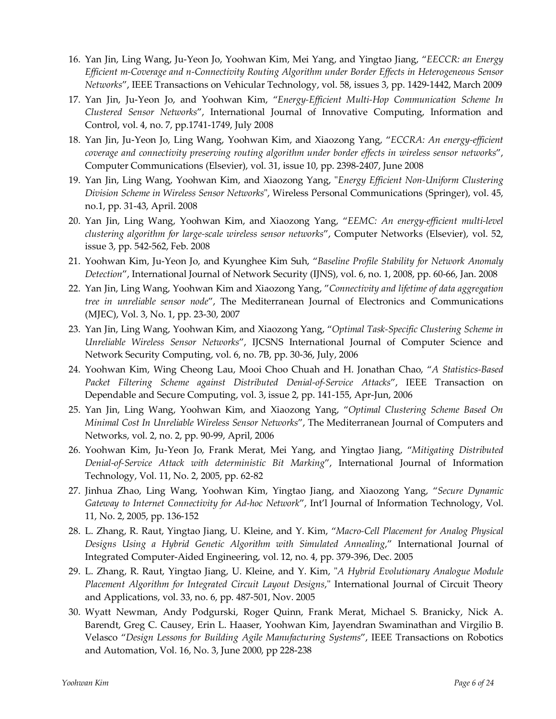- 16. Yan Jin, Ling Wang, Ju-Yeon Jo, Yoohwan Kim, Mei Yang, and Yingtao Jiang, "*EECCR: an Energy Efficient m-Coverage and n-Connectivity Routing Algorithm under Border Effects in Heterogeneous Sensor Networks*", IEEE Transactions on Vehicular Technology, vol. 58, issues 3, pp. 1429-1442, March 2009
- 17. Yan Jin, Ju-Yeon Jo, and Yoohwan Kim, "*Energy-Efficient Multi-Hop Communication Scheme In Clustered Sensor Networks*", International Journal of Innovative Computing, Information and Control, vol. 4, no. 7, pp.1741-1749, July 2008
- 18. Yan Jin, Ju-Yeon Jo, Ling Wang, Yoohwan Kim, and Xiaozong Yang, "*ECCRA: An energy-efficient coverage and connectivity preserving routing algorithm under border effects in wireless sensor networks*", Computer Communications (Elsevier), vol. 31, issue 10, pp. 2398-2407, June 2008
- 19. Yan Jin, Ling Wang, Yoohwan Kim, and Xiaozong Yang, "*Energy Efficient Non-Uniform Clustering Division Scheme in Wireless Sensor Networks*", Wireless Personal Communications (Springer), vol. 45, no.1, pp. 31-43, April. 2008
- 20. Yan Jin, Ling Wang, Yoohwan Kim, and Xiaozong Yang, "*EEMC: An energy-efficient multi-level clustering algorithm for large-scale wireless sensor networks*", Computer Networks (Elsevier), vol. 52, issue 3, pp. 542-562, Feb. 2008
- 21. Yoohwan Kim, Ju-Yeon Jo, and Kyunghee Kim Suh, "*Baseline Profile Stability for Network Anomaly Detection*", International Journal of Network Security (IJNS), vol. 6, no. 1, 2008, pp. 60-66, Jan. 2008
- 22. Yan Jin, Ling Wang, Yoohwan Kim and Xiaozong Yang, "*Connectivity and lifetime of data aggregation tree in unreliable sensor node*", The Mediterranean Journal of Electronics and Communications (MJEC), Vol. 3, No. 1, pp. 23-30, 2007
- 23. Yan Jin, Ling Wang, Yoohwan Kim, and Xiaozong Yang, "*Optimal Task-Specific Clustering Scheme in Unreliable Wireless Sensor Networks*", IJCSNS International Journal of Computer Science and Network Security Computing, vol. 6, no. 7B, pp. 30-36, July, 2006
- 24. Yoohwan Kim, Wing Cheong Lau, Mooi Choo Chuah and H. Jonathan Chao, "*A Statistics-Based Packet Filtering Scheme against Distributed Denial-of-Service Attacks*", IEEE Transaction on Dependable and Secure Computing, vol. 3, issue 2, pp. 141-155, Apr-Jun, 2006
- 25. Yan Jin, Ling Wang, Yoohwan Kim, and Xiaozong Yang, "*Optimal Clustering Scheme Based On Minimal Cost In Unreliable Wireless Sensor Networks*", The Mediterranean Journal of Computers and Networks, vol. 2, no. 2, pp. 90-99, April, 2006
- 26. Yoohwan Kim, Ju-Yeon Jo, Frank Merat, Mei Yang, and Yingtao Jiang, "*Mitigating Distributed Denial-of-Service Attack with deterministic Bit Marking*", International Journal of Information Technology, Vol. 11, No. 2, 2005, pp. 62-82
- 27. Jinhua Zhao, Ling Wang, Yoohwan Kim, Yingtao Jiang, and Xiaozong Yang, "*Secure Dynamic Gateway to Internet Connectivity for Ad-hoc Network*", Int'l Journal of Information Technology, Vol. 11, No. 2, 2005, pp. 136-152
- 28. L. Zhang, R. Raut, Yingtao Jiang, U. Kleine, and Y. Kim, "*Macro-Cell Placement for Analog Physical Designs Using a Hybrid Genetic Algorithm with Simulated Annealing*," International Journal of Integrated Computer-Aided Engineering, vol. 12, no. 4, pp. 379-396, Dec. 2005
- 29. L. Zhang, R. Raut, Yingtao Jiang, U. Kleine, and Y. Kim, "*A Hybrid Evolutionary Analogue Module Placement Algorithm for Integrated Circuit Layout Designs*," International Journal of Circuit Theory and Applications, vol. 33, no. 6, pp. 487-501, Nov. 2005
- 30. Wyatt Newman, Andy Podgurski, Roger Quinn, Frank Merat, Michael S. Branicky, Nick A. Barendt, Greg C. Causey, Erin L. Haaser, Yoohwan Kim, Jayendran Swaminathan and Virgilio B. Velasco "*Design Lessons for Building Agile Manufacturing Systems*", IEEE Transactions on Robotics and Automation, Vol. 16, No. 3, June 2000, pp 228-238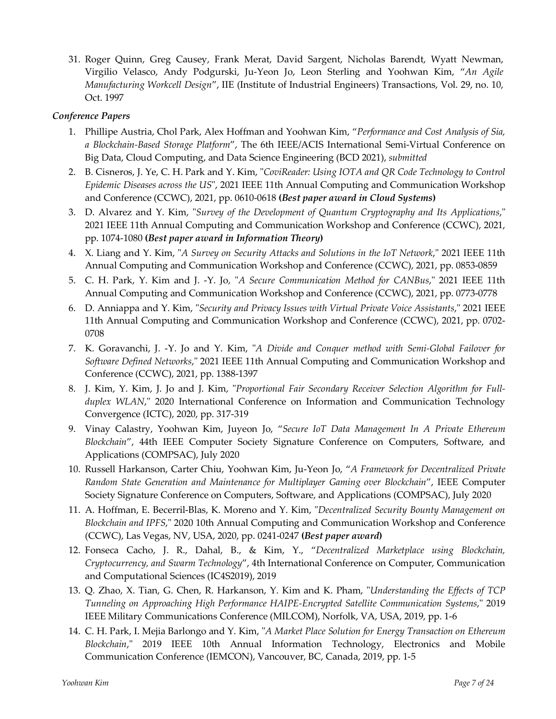31. Roger Quinn, Greg Causey, Frank Merat, David Sargent, Nicholas Barendt, Wyatt Newman, Virgilio Velasco, Andy Podgurski, Ju-Yeon Jo, Leon Sterling and Yoohwan Kim, "*An Agile Manufacturing Workcell Design*", IIE (Institute of Industrial Engineers) Transactions, Vol. 29, no. 10, Oct. 1997

#### *Conference Papers*

- 1. Phillipe Austria, Chol Park, Alex Hoffman and Yoohwan Kim, "*Performance and Cost Analysis of Sia, a Blockchain-Based Storage Platform*", The 6th IEEE/ACIS International Semi-Virtual Conference on Big Data, Cloud Computing, and Data Science Engineering (BCD 2021), *submitted*
- 2. B. Cisneros, J. Ye, C. H. Park and Y. Kim, "*CoviReader: Using IOTA and QR Code Technology to Control Epidemic Diseases across the US*", 2021 IEEE 11th Annual Computing and Communication Workshop and Conference (CCWC), 2021, pp. 0610-0618 **(***Best paper award in Cloud Systems***)**
- 3. D. Alvarez and Y. Kim, "*Survey of the Development of Quantum Cryptography and Its Applications*," 2021 IEEE 11th Annual Computing and Communication Workshop and Conference (CCWC), 2021, pp. 1074-1080 **(***Best paper award in Information Theory***)**
- 4. X. Liang and Y. Kim, "*A Survey on Security Attacks and Solutions in the IoT Network*," 2021 IEEE 11th Annual Computing and Communication Workshop and Conference (CCWC), 2021, pp. 0853-0859
- 5. C. H. Park, Y. Kim and J. -Y. Jo, "*A Secure Communication Method for CANBus*," 2021 IEEE 11th Annual Computing and Communication Workshop and Conference (CCWC), 2021, pp. 0773-0778
- 6. D. Anniappa and Y. Kim, "*Security and Privacy Issues with Virtual Private Voice Assistants*," 2021 IEEE 11th Annual Computing and Communication Workshop and Conference (CCWC), 2021, pp. 0702- 0708
- 7. K. Goravanchi, J. -Y. Jo and Y. Kim, "*A Divide and Conquer method with Semi-Global Failover for Software Defined Networks*," 2021 IEEE 11th Annual Computing and Communication Workshop and Conference (CCWC), 2021, pp. 1388-1397
- 8. J. Kim, Y. Kim, J. Jo and J. Kim, "*Proportional Fair Secondary Receiver Selection Algorithm for Fullduplex WLAN*," 2020 International Conference on Information and Communication Technology Convergence (ICTC), 2020, pp. 317-319
- 9. Vinay Calastry, Yoohwan Kim, Juyeon Jo, "*Secure IoT Data Management In A Private Ethereum Blockchain*", 44th IEEE Computer Society Signature Conference on Computers, Software, and Applications (COMPSAC), July 2020
- 10. Russell Harkanson, Carter Chiu, Yoohwan Kim, Ju-Yeon Jo, "*A Framework for Decentralized Private Random State Generation and Maintenance for Multiplayer Gaming over Blockchain*", IEEE Computer Society Signature Conference on Computers, Software, and Applications (COMPSAC), July 2020
- 11. A. Hoffman, E. Becerril-Blas, K. Moreno and Y. Kim, "*Decentralized Security Bounty Management on Blockchain and IPFS*," 2020 10th Annual Computing and Communication Workshop and Conference (CCWC), Las Vegas, NV, USA, 2020, pp. 0241-0247 **(***Best paper award***)**
- 12. Fonseca Cacho, J. R., Dahal, B., & Kim, Y., "*Decentralized Marketplace using Blockchain, Cryptocurrency, and Swarm Technology*", 4th International Conference on Computer, Communication and Computational Sciences (IC4S2019), 2019
- 13. Q. Zhao, X. Tian, G. Chen, R. Harkanson, Y. Kim and K. Pham, "*Understanding the Effects of TCP Tunneling on Approaching High Performance HAIPE-Encrypted Satellite Communication Systems*," 2019 IEEE Military Communications Conference (MILCOM), Norfolk, VA, USA, 2019, pp. 1-6
- 14. C. H. Park, I. Mejia Barlongo and Y. Kim, "*A Market Place Solution for Energy Transaction on Ethereum Blockchain*," 2019 IEEE 10th Annual Information Technology, Electronics and Mobile Communication Conference (IEMCON), Vancouver, BC, Canada, 2019, pp. 1-5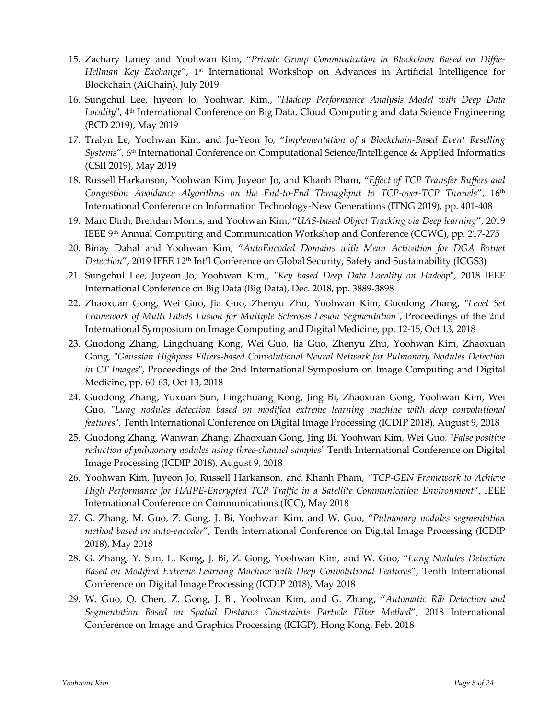- 15. Zachary Laney and Yoohwan Kim, "*Private Group Communication in Blockchain Based on Diffie-Hellman Key Exchange*", 1st International Workshop on Advances in Artificial Intelligence for Blockchain (AiChain), July 2019
- 16. Sungchul Lee, Juyeon Jo, Yoohwan Kim,, "*Hadoop Performance Analysis Model with Deep Data*  Locality", 4<sup>th</sup> International Conference on Big Data, Cloud Computing and data Science Engineering (BCD 2019), May 2019
- 17. Tralyn Le, Yoohwan Kim, and Ju-Yeon Jo, "*Implementation of a Blockchain-Based Event Reselling Systems*", 6th International Conference on Computational Science/Intelligence & Applied Informatics (CSII 2019), May 2019
- 18. Russell Harkanson, Yoohwan Kim, Juyeon Jo, and Khanh Pham, "*Effect of TCP Transfer Buffers and Congestion Avoidance Algorithms on the End-to-End Throughput to TCP-over-TCP Tunnels*", 16th International Conference on Information Technology-New Generations (ITNG 2019), pp. 401-408
- 19. Marc Dinh, Brendan Morris, and Yoohwan Kim, "*UAS-based Object Tracking via Deep learning*", 2019 IEEE 9<sup>th</sup> Annual Computing and Communication Workshop and Conference (CCWC), pp. 217-275
- 20. Binay Dahal and Yoohwan Kim, "*AutoEncoded Domains with Mean Activation for DGA Botnet*  Detection", 2019 IEEE 12<sup>th</sup> Int'l Conference on Global Security, Safety and Sustainability (ICGS3)
- 21. Sungchul Lee, Juyeon Jo, Yoohwan Kim,, "*Key based Deep Data Locality on Hadoop*", 2018 IEEE International Conference on Big Data (Big Data), Dec. 2018, pp. 3889-3898
- 22. Zhaoxuan Gong, Wei Guo, Jia Guo, Zhenyu Zhu, Yoohwan Kim, Guodong Zhang, "*Level Set Framework of Multi Labels Fusion for Multiple Sclerosis Lesion Segmentation*", Proceedings of the 2nd International Symposium on Image Computing and Digital Medicine, pp. 12-15, Oct 13, 2018
- 23. Guodong Zhang, Lingchuang Kong, Wei Guo, Jia Guo, Zhenyu Zhu, Yoohwan Kim, Zhaoxuan Gong, "*Gaussian Highpass Filters-based Convolutional Neural Network for Pulmonary Nodules Detection in CT Images*", Proceedings of the 2nd International Symposium on Image Computing and Digital Medicine, pp. 60-63, Oct 13, 2018
- 24. Guodong Zhang, Yuxuan Sun, Lingchuang Kong, Jing Bi, Zhaoxuan Gong, Yoohwan Kim, Wei Guo, "*Lung nodules detection based on modified extreme learning machine with deep convolutional features*", Tenth International Conference on Digital Image Processing (ICDIP 2018), August 9, 2018
- 25. Guodong Zhang, Wanwan Zhang, Zhaoxuan Gong, Jing Bi, Yoohwan Kim, Wei Guo, "*False positive reduction of pulmonary nodules using three-channel samples*" Tenth International Conference on Digital Image Processing (ICDIP 2018), August 9, 2018
- 26. Yoohwan Kim, Juyeon Jo, Russell Harkanson, and Khanh Pham, "*TCP-GEN Framework to Achieve High Performance for HAIPE-Encrypted TCP Traffic in a Satellite Communication Environment*", IEEE International Conference on Communications (ICC), May 2018
- 27. G. Zhang, M. Guo, Z. Gong, J. Bi, Yoohwan Kim, and W. Guo, "*Pulmonary nodules segmentation method based on auto-encoder*", Tenth International Conference on Digital Image Processing (ICDIP 2018), May 2018
- 28. G. Zhang, Y. Sun, L. Kong, J. Bi, Z. Gong, Yoohwan Kim, and W. Guo, "*Lung Nodules Detection Based on Modified Extreme Learning Machine with Deep Convolutional Features*", Tenth International Conference on Digital Image Processing (ICDIP 2018), May 2018
- 29. W. Guo, Q. Chen, Z. Gong, J. Bi, Yoohwan Kim, and G. Zhang, "*Automatic Rib Detection and Segmentation Based on Spatial Distance Constraints Particle Filter Method*", 2018 International Conference on Image and Graphics Processing (ICIGP), Hong Kong, Feb. 2018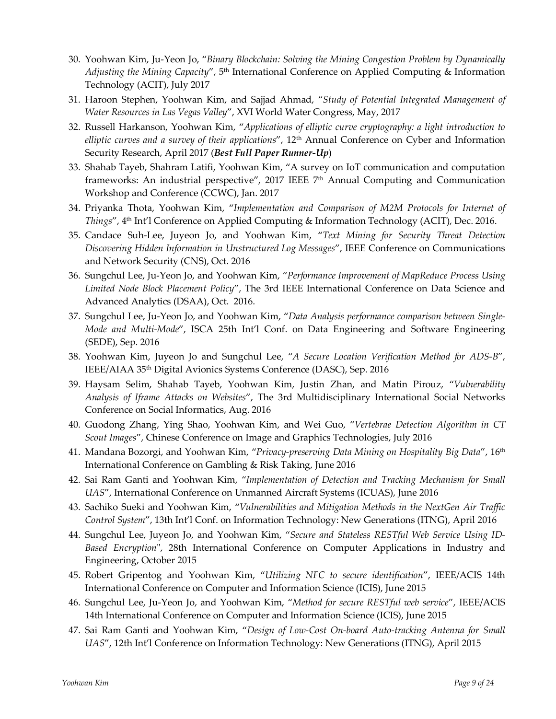- 30. Yoohwan Kim, Ju-Yeon Jo, "*Binary Blockchain: Solving the Mining Congestion Problem by Dynamically*  Adjusting the Mining Capacity", 5<sup>th</sup> International Conference on Applied Computing & Information Technology (ACIT), July 2017
- 31. Haroon Stephen, Yoohwan Kim, and Sajjad Ahmad, "*Study of Potential Integrated Management of Water Resources in Las Vegas Valley*", XVI World Water Congress, May, 2017
- 32. Russell Harkanson, Yoohwan Kim, "*Applications of elliptic curve cryptography: a light introduction to elliptic curves and a survey of their applications*", 12th Annual Conference on Cyber and Information Security Research, April 2017 (*Best Full Paper Runner-Up*)
- 33. Shahab Tayeb, Shahram Latifi, Yoohwan Kim, "A survey on IoT communication and computation frameworks: An industrial perspective", 2017 IEEE  $7<sup>th</sup>$  Annual Computing and Communication Workshop and Conference (CCWC), Jan. 2017
- 34. Priyanka Thota, Yoohwan Kim, "*Implementation and Comparison of M2M Protocols for Internet of Things"*, 4<sup>th</sup> Int'l Conference on Applied Computing & Information Technology (ACIT), Dec. 2016.
- 35. Candace Suh-Lee, Juyeon Jo, and Yoohwan Kim, "*Text Mining for Security Threat Detection Discovering Hidden Information in Unstructured Log Messages*", IEEE Conference on Communications and Network Security (CNS), Oct. 2016
- 36. Sungchul Lee, Ju-Yeon Jo, and Yoohwan Kim, "*Performance Improvement of MapReduce Process Using Limited Node Block Placement Policy*", The 3rd IEEE International Conference on Data Science and Advanced Analytics (DSAA), Oct. 2016.
- 37. Sungchul Lee, Ju-Yeon Jo, and Yoohwan Kim, "*Data Analysis performance comparison between Single-Mode and Multi-Mode*", ISCA 25th Int'l Conf. on Data Engineering and Software Engineering (SEDE), Sep. 2016
- 38. Yoohwan Kim, Juyeon Jo and Sungchul Lee, "*A Secure Location Verification Method for ADS-B*", IEEE/AIAA 35th Digital Avionics Systems Conference (DASC), Sep. 2016
- 39. Haysam Selim, Shahab Tayeb, Yoohwan Kim, Justin Zhan, and Matin Pirouz, "*Vulnerability Analysis of Iframe Attacks on Websites*", The 3rd Multidisciplinary International Social Networks Conference on Social Informatics, Aug. 2016
- 40. Guodong Zhang, Ying Shao, Yoohwan Kim, and Wei Guo, "*Vertebrae Detection Algorithm in CT Scout Images*", Chinese Conference on Image and Graphics Technologies, July 2016
- 41. Mandana Bozorgi, and Yoohwan Kim, "*Privacy-preserving Data Mining on Hospitality Big Data*", 16th International Conference on Gambling & Risk Taking, June 2016
- 42. Sai Ram Ganti and Yoohwan Kim, "*Implementation of Detection and Tracking Mechanism for Small UAS*", International Conference on Unmanned Aircraft Systems (ICUAS), June 2016
- 43. Sachiko Sueki and Yoohwan Kim, "*Vulnerabilities and Mitigation Methods in the NextGen Air Traffic Control System*", 13th Int'l Conf. on Information Technology: New Generations (ITNG), April 2016
- 44. Sungchul Lee, Juyeon Jo, and Yoohwan Kim, "*Secure and Stateless RESTful Web Service Using ID-Based Encryption*", 28th International Conference on Computer Applications in Industry and Engineering, October 2015
- 45. Robert Gripentog and Yoohwan Kim, "*Utilizing NFC to secure identification*", IEEE/ACIS 14th International Conference on Computer and Information Science (ICIS), June 2015
- 46. Sungchul Lee, Ju-Yeon Jo, and Yoohwan Kim, "*Method for secure RESTful web service*", IEEE/ACIS 14th International Conference on Computer and Information Science (ICIS), June 2015
- 47. Sai Ram Ganti and Yoohwan Kim, "*Design of Low-Cost On-board Auto-tracking Antenna for Small UAS*", 12th Int'l Conference on Information Technology: New Generations (ITNG), April 2015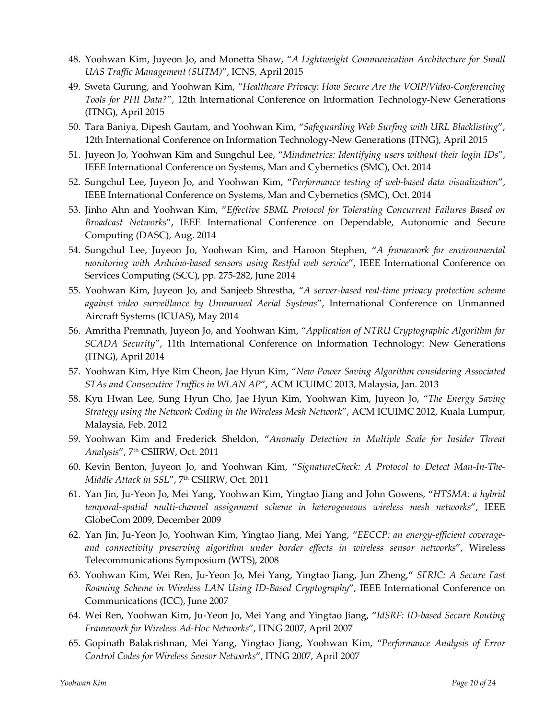- 48. Yoohwan Kim, Juyeon Jo, and Monetta Shaw, "*A Lightweight Communication Architecture for Small UAS Traffic Management (SUTM)*", ICNS, April 2015
- 49. Sweta Gurung, and Yoohwan Kim, "*Healthcare Privacy: How Secure Are the VOIP/Video-Conferencing Tools for PHI Data?*", 12th International Conference on Information Technology-New Generations (ITNG), April 2015
- 50. Tara Baniya, Dipesh Gautam, and Yoohwan Kim, "*Safeguarding Web Surfing with URL Blacklisting*", 12th International Conference on Information Technology-New Generations (ITNG), April 2015
- 51. Juyeon Jo, Yoohwan Kim and Sungchul Lee, "*Mindmetrics: Identifying users without their login IDs*", IEEE International Conference on Systems, Man and Cybernetics (SMC), Oct. 2014
- 52. Sungchul Lee, Juyeon Jo, and Yoohwan Kim, "*Performance testing of web-based data visualization*", IEEE International Conference on Systems, Man and Cybernetics (SMC), Oct. 2014
- 53. Jinho Ahn and Yoohwan Kim, "*Effective SBML Protocol for Tolerating Concurrent Failures Based on Broadcast Networks*", IEEE International Conference on Dependable, Autonomic and Secure Computing (DASC), Aug. 2014
- 54. Sungchul Lee, Juyeon Jo, Yoohwan Kim, and Haroon Stephen, "*A framework for environmental monitoring with Arduino-based sensors using Restful web service*", IEEE International Conference on Services Computing (SCC), pp. 275-282, June 2014
- 55. Yoohwan Kim, Juyeon Jo, and Sanjeeb Shrestha, "*A server-based real-time privacy protection scheme against video surveillance by Unmanned Aerial Systems*", International Conference on Unmanned Aircraft Systems (ICUAS), May 2014
- 56. Amritha Premnath, Juyeon Jo, and Yoohwan Kim, "*Application of NTRU Cryptographic Algorithm for SCADA Security*", 11th International Conference on Information Technology: New Generations (ITNG), April 2014
- 57. Yoohwan Kim, Hye Rim Cheon, Jae Hyun Kim, "*New Power Saving Algorithm considering Associated STAs and Consecutive Traffics in WLAN AP*", ACM ICUIMC 2013, Malaysia, Jan. 2013
- 58. Kyu Hwan Lee, Sung Hyun Cho, Jae Hyun Kim, Yoohwan Kim, Juyeon Jo, "*The Energy Saving Strategy using the Network Coding in the Wireless Mesh Network*", ACM ICUIMC 2012, Kuala Lumpur, Malaysia, Feb. 2012
- 59. Yoohwan Kim and Frederick Sheldon, "*Anomaly Detection in Multiple Scale for Insider Threat Analysis*", 7th CSIIRW, Oct. 2011
- 60. Kevin Benton, Juyeon Jo, and Yoohwan Kim, "*SignatureCheck: A Protocol to Detect Man-In-The-Middle Attack in SSL*", 7th CSIIRW, Oct. 2011
- 61. Yan Jin, Ju-Yeon Jo, Mei Yang, Yoohwan Kim, Yingtao Jiang and John Gowens, "*HTSMA: a hybrid temporal-spatial multi-channel assignment scheme in heterogeneous wireless mesh networks*", IEEE GlobeCom 2009, December 2009
- 62. Yan Jin, Ju-Yeon Jo, Yoohwan Kim, Yingtao Jiang, Mei Yang, "*EECCP: an energy-efficient coverageand connectivity preserving algorithm under border effects in wireless sensor networks*", Wireless Telecommunications Symposium (WTS), 2008
- 63. Yoohwan Kim, Wei Ren, Ju-Yeon Jo, Mei Yang, Yingtao Jiang, Jun Zheng," *SFRIC: A Secure Fast Roaming Scheme in Wireless LAN Using ID-Based Cryptography*", IEEE International Conference on Communications (ICC), June 2007
- 64. Wei Ren, Yoohwan Kim, Ju-Yeon Jo, Mei Yang and Yingtao Jiang, "*IdSRF: ID-based Secure Routing Framework for Wireless Ad-Hoc Networks*", ITNG 2007, April 2007
- 65. Gopinath Balakrishnan, Mei Yang, Yingtao Jiang, Yoohwan Kim, "*Performance Analysis of Error Control Codes for Wireless Sensor Networks*", ITNG 2007, April 2007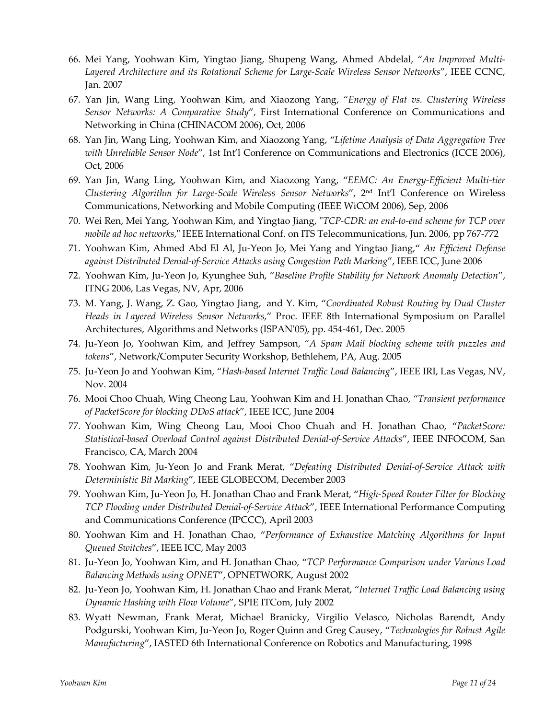- 66. Mei Yang, Yoohwan Kim, Yingtao Jiang, Shupeng Wang, Ahmed Abdelal, "*An Improved Multi-Layered Architecture and its Rotational Scheme for Large-Scale Wireless Sensor Networks*", IEEE CCNC, Jan. 2007
- 67. Yan Jin, Wang Ling, Yoohwan Kim, and Xiaozong Yang, "*Energy of Flat vs. Clustering Wireless Sensor Networks: A Comparative Study*", First International Conference on Communications and Networking in China (CHINACOM 2006), Oct, 2006
- 68. Yan Jin, Wang Ling, Yoohwan Kim, and Xiaozong Yang, "*Lifetime Analysis of Data Aggregation Tree with Unreliable Sensor Node*", 1st Int'l Conference on Communications and Electronics (ICCE 2006), Oct, 2006
- 69. Yan Jin, Wang Ling, Yoohwan Kim, and Xiaozong Yang, "*EEMC: An Energy-Efficient Multi-tier Clustering Algorithm for Large-Scale Wireless Sensor Networks*", 2nd Int'l Conference on Wireless Communications, Networking and Mobile Computing (IEEE WiCOM 2006), Sep, 2006
- 70. Wei Ren, Mei Yang, Yoohwan Kim, and Yingtao Jiang, "*TCP-CDR: an end-to-end scheme for TCP over mobile ad hoc networks*," IEEE International Conf. on ITS Telecommunications, Jun. 2006, pp 767-772
- 71. Yoohwan Kim, Ahmed Abd El Al, Ju-Yeon Jo, Mei Yang and Yingtao Jiang," *An Efficient Defense against Distributed Denial-of-Service Attacks using Congestion Path Marking*", IEEE ICC, June 2006
- 72. Yoohwan Kim, Ju-Yeon Jo, Kyunghee Suh, "*Baseline Profile Stability for Network Anomaly Detection*", ITNG 2006, Las Vegas, NV, Apr, 2006
- 73. M. Yang, J. Wang, Z. Gao, Yingtao Jiang, and Y. Kim, "*Coordinated Robust Routing by Dual Cluster Heads in Layered Wireless Sensor Networks,*" Proc. IEEE 8th International Symposium on Parallel Architectures, Algorithms and Networks (ISPAN'05), pp. 454-461, Dec. 2005
- 74. Ju-Yeon Jo, Yoohwan Kim, and Jeffrey Sampson, "*A Spam Mail blocking scheme with puzzles and tokens*", Network/Computer Security Workshop, Bethlehem, PA, Aug. 2005
- 75. Ju-Yeon Jo and Yoohwan Kim, "*Hash-based Internet Traffic Load Balancing*", IEEE IRI, Las Vegas, NV, Nov. 2004
- 76. Mooi Choo Chuah, Wing Cheong Lau, Yoohwan Kim and H. Jonathan Chao, "*Transient performance of PacketScore for blocking DDoS attack*", IEEE ICC, June 2004
- 77. Yoohwan Kim, Wing Cheong Lau, Mooi Choo Chuah and H. Jonathan Chao, "*PacketScore: Statistical-based Overload Control against Distributed Denial-of-Service Attacks*", IEEE INFOCOM, San Francisco, CA, March 2004
- 78. Yoohwan Kim, Ju-Yeon Jo and Frank Merat, "*Defeating Distributed Denial-of-Service Attack with Deterministic Bit Marking*", IEEE GLOBECOM, December 2003
- 79. Yoohwan Kim, Ju-Yeon Jo, H. Jonathan Chao and Frank Merat, "*High-Speed Router Filter for Blocking TCP Flooding under Distributed Denial-of-Service Attack*", IEEE International Performance Computing and Communications Conference (IPCCC), April 2003
- 80. Yoohwan Kim and H. Jonathan Chao, "*Performance of Exhaustive Matching Algorithms for Input Queued Switches*", IEEE ICC, May 2003
- 81. Ju-Yeon Jo, Yoohwan Kim, and H. Jonathan Chao, "*TCP Performance Comparison under Various Load Balancing Methods using OPNET*", OPNETWORK, August 2002
- 82. Ju-Yeon Jo, Yoohwan Kim, H. Jonathan Chao and Frank Merat, "*Internet Traffic Load Balancing using Dynamic Hashing with Flow Volume*", SPIE ITCom, July 2002
- 83. Wyatt Newman, Frank Merat, Michael Branicky, Virgilio Velasco, Nicholas Barendt, Andy Podgurski, Yoohwan Kim, Ju-Yeon Jo, Roger Quinn and Greg Causey, "*Technologies for Robust Agile Manufacturing*", IASTED 6th International Conference on Robotics and Manufacturing, 1998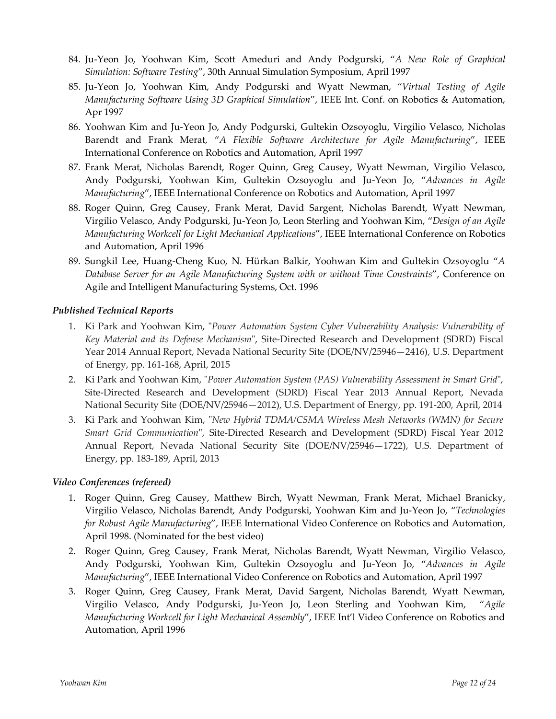- 84. Ju-Yeon Jo, Yoohwan Kim, Scott Ameduri and Andy Podgurski, "*A New Role of Graphical Simulation: Software Testing*", 30th Annual Simulation Symposium, April 1997
- 85. Ju-Yeon Jo, Yoohwan Kim, Andy Podgurski and Wyatt Newman, "*Virtual Testing of Agile Manufacturing Software Using 3D Graphical Simulation*", IEEE Int. Conf. on Robotics & Automation, Apr 1997
- 86. Yoohwan Kim and Ju-Yeon Jo, Andy Podgurski, Gultekin Ozsoyoglu, Virgilio Velasco, Nicholas Barendt and Frank Merat, "*A Flexible Software Architecture for Agile Manufacturing*", IEEE International Conference on Robotics and Automation, April 1997
- 87. Frank Merat, Nicholas Barendt, Roger Quinn, Greg Causey, Wyatt Newman, Virgilio Velasco, Andy Podgurski, Yoohwan Kim, Gultekin Ozsoyoglu and Ju-Yeon Jo, "*Advances in Agile Manufacturing*", IEEE International Conference on Robotics and Automation, April 1997
- 88. Roger Quinn, Greg Causey, Frank Merat, David Sargent, Nicholas Barendt, Wyatt Newman, Virgilio Velasco, Andy Podgurski, Ju-Yeon Jo, Leon Sterling and Yoohwan Kim, "*Design of an Agile Manufacturing Workcell for Light Mechanical Applications*", IEEE International Conference on Robotics and Automation, April 1996
- 89. Sungkil Lee, Huang-Cheng Kuo, N. Hürkan Balkir, Yoohwan Kim and Gultekin Ozsoyoglu "*A Database Server for an Agile Manufacturing System with or without Time Constraints*", Conference on Agile and Intelligent Manufacturing Systems, Oct. 1996

### *Published Technical Reports*

- 1. Ki Park and Yoohwan Kim, "*Power Automation System Cyber Vulnerability Analysis: Vulnerability of Key Material and its Defense Mechanism*", Site-Directed Research and Development (SDRD) Fiscal Year 2014 Annual Report, Nevada National Security Site (DOE/NV/25946—2416), U.S. Department of Energy, pp. 161-168, April, 2015
- 2. Ki Park and Yoohwan Kim, "*Power Automation System (PAS) Vulnerability Assessment in Smart Grid*", Site-Directed Research and Development (SDRD) Fiscal Year 2013 Annual Report, Nevada National Security Site (DOE/NV/25946—2012), U.S. Department of Energy, pp. 191-200, April, 2014
- 3. Ki Park and Yoohwan Kim, "*New Hybrid TDMA/CSMA Wireless Mesh Networks (WMN) for Secure Smart Grid Communication*", Site-Directed Research and Development (SDRD) Fiscal Year 2012 Annual Report, Nevada National Security Site (DOE/NV/25946—1722), U.S. Department of Energy, pp. 183-189, April, 2013

#### *Video Conferences (refereed)*

- 1. Roger Quinn, Greg Causey, Matthew Birch, Wyatt Newman, Frank Merat, Michael Branicky, Virgilio Velasco, Nicholas Barendt, Andy Podgurski, Yoohwan Kim and Ju-Yeon Jo, "*Technologies for Robust Agile Manufacturing*", IEEE International Video Conference on Robotics and Automation, April 1998. (Nominated for the best video)
- 2. Roger Quinn, Greg Causey, Frank Merat, Nicholas Barendt, Wyatt Newman, Virgilio Velasco, Andy Podgurski, Yoohwan Kim, Gultekin Ozsoyoglu and Ju-Yeon Jo, "*Advances in Agile Manufacturing*", IEEE International Video Conference on Robotics and Automation, April 1997
- 3. Roger Quinn, Greg Causey, Frank Merat, David Sargent, Nicholas Barendt, Wyatt Newman, Virgilio Velasco, Andy Podgurski, Ju-Yeon Jo, Leon Sterling and Yoohwan Kim, "*Agile Manufacturing Workcell for Light Mechanical Assembly*", IEEE Int'l Video Conference on Robotics and Automation, April 1996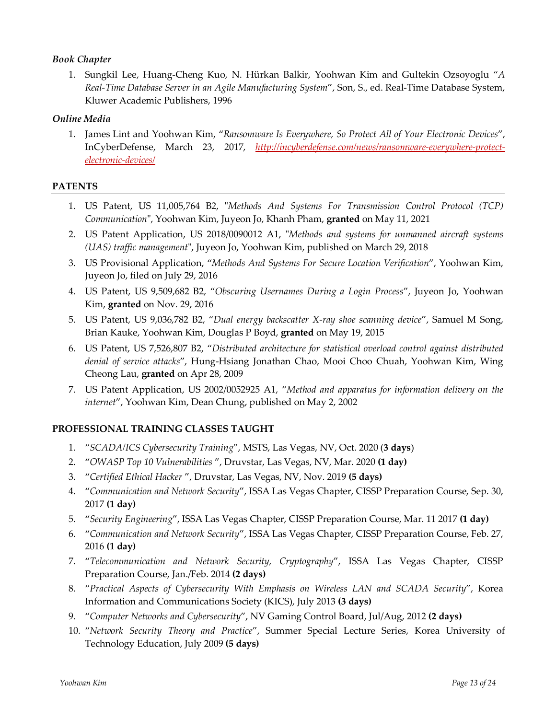#### *Book Chapter*

1. Sungkil Lee, Huang-Cheng Kuo, N. Hürkan Balkir, Yoohwan Kim and Gultekin Ozsoyoglu "*A Real-Time Database Server in an Agile Manufacturing System*", Son, S., ed. Real-Time Database System, Kluwer Academic Publishers, 1996

#### *Online Media*

1. James Lint and Yoohwan Kim, "*Ransomware Is Everywhere, So Protect All of Your Electronic Devices*", InCyberDefense, March 23, 2017, *http://incyberdefense.com/news/ransomware-everywhere-protectelectronic-devices/*

#### **PATENTS**

- 1. US Patent, US 11,005,764 B2, "*Methods And Systems For Transmission Control Protocol (TCP) Communication*", Yoohwan Kim, Juyeon Jo, Khanh Pham, **granted** on May 11, 2021
- 2. US Patent Application, US 2018/0090012 A1, "*Methods and systems for unmanned aircraft systems (UAS) traffic management*", Juyeon Jo, Yoohwan Kim, published on March 29, 2018
- 3. US Provisional Application, "*Methods And Systems For Secure Location Verification*", Yoohwan Kim, Juyeon Jo, filed on July 29, 2016
- 4. US Patent, US 9,509,682 B2, "*Obscuring Usernames During a Login Process*", Juyeon Jo, Yoohwan Kim, **granted** on Nov. 29, 2016
- 5. US Patent, US 9,036,782 B2, "*Dual energy backscatter X-ray shoe scanning device*", Samuel M Song, Brian Kauke, Yoohwan Kim, Douglas P Boyd, **granted** on May 19, 2015
- 6. US Patent, US 7,526,807 B2, "*Distributed architecture for statistical overload control against distributed denial of service attacks*", Hung-Hsiang Jonathan Chao, Mooi Choo Chuah, Yoohwan Kim, Wing Cheong Lau, **granted** on Apr 28, 2009
- 7. US Patent Application, US 2002/0052925 A1, "*Method and apparatus for information delivery on the internet*", Yoohwan Kim, Dean Chung, published on May 2, 2002

### **PROFESSIONAL TRAINING CLASSES TAUGHT**

- 1. "*SCADA/ICS Cybersecurity Training*", MSTS, Las Vegas, NV, Oct. 2020 (**3 days**)
- 2. "*OWASP Top 10 Vulnerabilities* ", Druvstar, Las Vegas, NV, Mar. 2020 **(1 day)**
- 3. "*Certified Ethical Hacker* ", Druvstar, Las Vegas, NV, Nov. 2019 **(5 days)**
- 4. "*Communication and Network Security*", ISSA Las Vegas Chapter, CISSP Preparation Course, Sep. 30, 2017 **(1 day)**
- 5. "*Security Engineering*", ISSA Las Vegas Chapter, CISSP Preparation Course, Mar. 11 2017 **(1 day)**
- 6. "*Communication and Network Security*", ISSA Las Vegas Chapter, CISSP Preparation Course, Feb. 27, 2016 **(1 day)**
- 7. "*Telecommunication and Network Security, Cryptography*", ISSA Las Vegas Chapter, CISSP Preparation Course, Jan./Feb. 2014 **(2 days)**
- 8. "*Practical Aspects of Cybersecurity With Emphasis on Wireless LAN and SCADA Security*", Korea Information and Communications Society (KICS), July 2013 **(3 days)**
- 9. "*Computer Networks and Cybersecurity*", NV Gaming Control Board, Jul/Aug, 2012 **(2 days)**
- 10. "*Network Security Theory and Practice*", Summer Special Lecture Series, Korea University of Technology Education, July 2009 **(5 days)**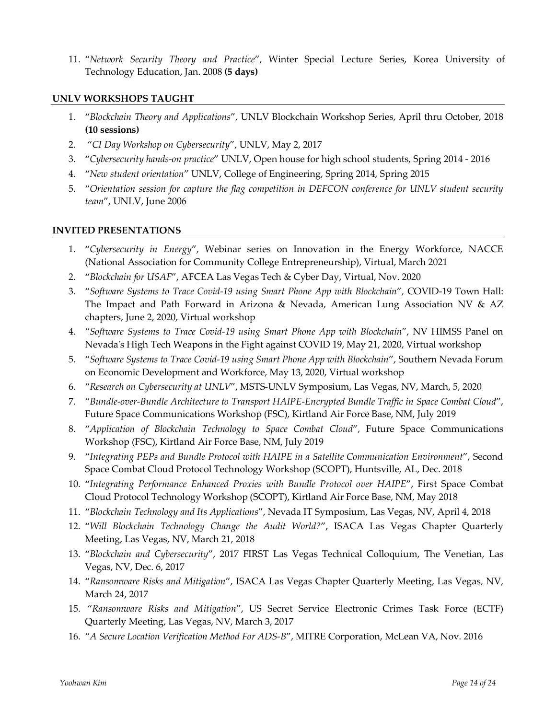11. "*Network Security Theory and Practice*", Winter Special Lecture Series, Korea University of Technology Education, Jan. 2008 **(5 days)**

#### **UNLV WORKSHOPS TAUGHT**

- 1. "*Blockchain Theory and Applications*", UNLV Blockchain Workshop Series, April thru October, 2018 **(10 sessions)**
- 2. "*CI Day Workshop on Cybersecurity*", UNLV, May 2, 2017
- 3. "*Cybersecurity hands-on practice*" UNLV, Open house for high school students, Spring 2014 2016
- 4. "*New student orientation*" UNLV, College of Engineering, Spring 2014, Spring 2015
- 5. "*Orientation session for capture the flag competition in DEFCON conference for UNLV student security team*", UNLV, June 2006

#### **INVITED PRESENTATIONS**

- 1. "*Cybersecurity in Energy*", Webinar series on Innovation in the Energy Workforce, NACCE (National Association for Community College Entrepreneurship), Virtual, March 2021
- 2. "*Blockchain for USAF*", AFCEA Las Vegas Tech & Cyber Day, Virtual, Nov. 2020
- 3. "*Software Systems to Trace Covid-19 using Smart Phone App with Blockchain*", COVID-19 Town Hall: The Impact and Path Forward in Arizona & Nevada, American Lung Association NV & AZ chapters, June 2, 2020, Virtual workshop
- 4. "*Software Systems to Trace Covid-19 using Smart Phone App with Blockchain*", NV HIMSS Panel on Nevada's High Tech Weapons in the Fight against COVID 19, May 21, 2020, Virtual workshop
- 5. "*Software Systems to Trace Covid-19 using Smart Phone App with Blockchain*", Southern Nevada Forum on Economic Development and Workforce, May 13, 2020, Virtual workshop
- 6. "*Research on Cybersecurity at UNLV*", MSTS-UNLV Symposium, Las Vegas, NV, March, 5, 2020
- 7. "*Bundle-over-Bundle Architecture to Transport HAIPE-Encrypted Bundle Traffic in Space Combat Cloud*", Future Space Communications Workshop (FSC), Kirtland Air Force Base, NM, July 2019
- 8. "*Application of Blockchain Technology to Space Combat Cloud*", Future Space Communications Workshop (FSC), Kirtland Air Force Base, NM, July 2019
- 9. "*Integrating PEPs and Bundle Protocol with HAIPE in a Satellite Communication Environment*", Second Space Combat Cloud Protocol Technology Workshop (SCOPT), Huntsville, AL, Dec. 2018
- 10. "*Integrating Performance Enhanced Proxies with Bundle Protocol over HAIPE*", First Space Combat Cloud Protocol Technology Workshop (SCOPT), Kirtland Air Force Base, NM, May 2018
- 11. "*Blockchain Technology and Its Applications*", Nevada IT Symposium, Las Vegas, NV, April 4, 2018
- 12. "*Will Blockchain Technology Change the Audit World?*", ISACA Las Vegas Chapter Quarterly Meeting, Las Vegas, NV, March 21, 2018
- 13. "*Blockchain and Cybersecurity*", 2017 FIRST Las Vegas Technical Colloquium, The Venetian, Las Vegas, NV, Dec. 6, 2017
- 14. "*Ransomware Risks and Mitigation*", ISACA Las Vegas Chapter Quarterly Meeting, Las Vegas, NV, March 24, 2017
- 15. "*Ransomware Risks and Mitigation*", US Secret Service Electronic Crimes Task Force (ECTF) Quarterly Meeting, Las Vegas, NV, March 3, 2017
- 16. "*A Secure Location Verification Method For ADS-B*", MITRE Corporation, McLean VA, Nov. 2016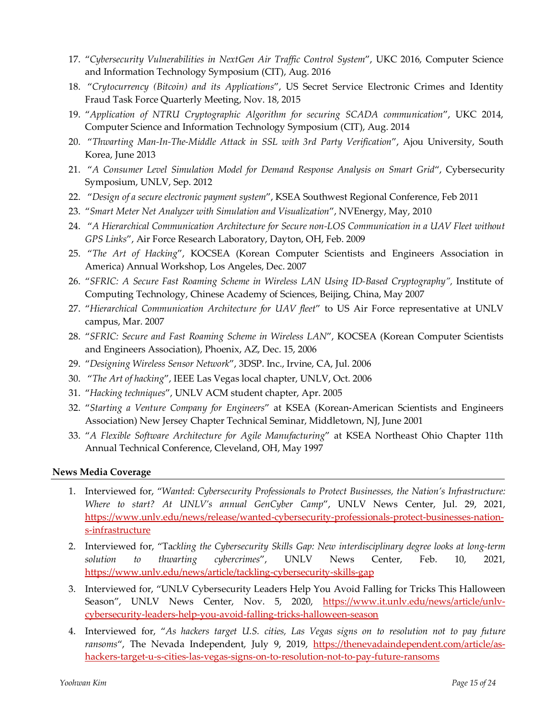- 17. "*Cybersecurity Vulnerabilities in NextGen Air Traffic Control System*", UKC 2016, Computer Science and Information Technology Symposium (CIT), Aug. 2016
- 18. "*Crytocurrency (Bitcoin) and its Applications*", US Secret Service Electronic Crimes and Identity Fraud Task Force Quarterly Meeting, Nov. 18, 2015
- 19. "*Application of NTRU Cryptographic Algorithm for securing SCADA communication*", UKC 2014, Computer Science and Information Technology Symposium (CIT), Aug. 2014
- 20. "*Thwarting Man-In-The-Middle Attack in SSL with 3rd Party Verification*", Ajou University, South Korea, June 2013
- 21. "*A Consumer Level Simulation Model for Demand Response Analysis on Smart Grid*", Cybersecurity Symposium, UNLV, Sep. 2012
- 22. "*Design of a secure electronic payment system*", KSEA Southwest Regional Conference, Feb 2011
- 23. "*Smart Meter Net Analyzer with Simulation and Visualization*", NVEnergy, May, 2010
- 24. "*A Hierarchical Communication Architecture for Secure non-LOS Communication in a UAV Fleet without GPS Links*", Air Force Research Laboratory, Dayton, OH, Feb. 2009
- 25. "*The Art of Hacking*", KOCSEA (Korean Computer Scientists and Engineers Association in America) Annual Workshop, Los Angeles, Dec. 2007
- 26. "*SFRIC: A Secure Fast Roaming Scheme in Wireless LAN Using ID-Based Cryptography",* Institute of Computing Technology, Chinese Academy of Sciences, Beijing, China, May 2007
- 27. "*Hierarchical Communication Architecture for UAV fleet*" to US Air Force representative at UNLV campus, Mar. 2007
- 28. "*SFRIC: Secure and Fast Roaming Scheme in Wireless LAN*", KOCSEA (Korean Computer Scientists and Engineers Association), Phoenix, AZ, Dec. 15, 2006
- 29. "*Designing Wireless Sensor Network*", 3DSP. Inc., Irvine, CA, Jul. 2006
- 30. "*The Art of hacking*", IEEE Las Vegas local chapter, UNLV, Oct. 2006
- 31. "*Hacking techniques*", UNLV ACM student chapter, Apr. 2005
- 32. "*Starting a Venture Company for Engineers*" at KSEA (Korean-American Scientists and Engineers Association) New Jersey Chapter Technical Seminar, Middletown, NJ, June 2001
- 33. "*A Flexible Software Architecture for Agile Manufacturing*" at KSEA Northeast Ohio Chapter 11th Annual Technical Conference, Cleveland, OH, May 1997

#### **News Media Coverage**

- 1. Interviewed for, "*Wanted: Cybersecurity Professionals to Protect Businesses, the Nation's Infrastructure: Where to start? At UNLV's annual GenCyber Camp*", UNLV News Center, Jul. 29, 2021, https://www.unlv.edu/news/release/wanted-cybersecurity-professionals-protect-businesses-nations-infrastructure
- 2. Interviewed for, "Ta*ckling the Cybersecurity Skills Gap: New interdisciplinary degree looks at long-term solution to thwarting cybercrimes*", UNLV News Center, Feb. 10, 2021, https://www.unlv.edu/news/article/tackling-cybersecurity-skills-gap
- 3. Interviewed for, "UNLV Cybersecurity Leaders Help You Avoid Falling for Tricks This Halloween Season", UNLV News Center, Nov. 5, 2020, https://www.it.unly.edu/news/article/unlycybersecurity-leaders-help-you-avoid-falling-tricks-halloween-season
- 4. Interviewed for, "*As hackers target U.S. cities, Las Vegas signs on to resolution not to pay future*  ransoms", The Nevada Independent, July 9, 2019, https://thenevadaindependent.com/article/ashackers-target-u-s-cities-las-vegas-signs-on-to-resolution-not-to-pay-future-ransoms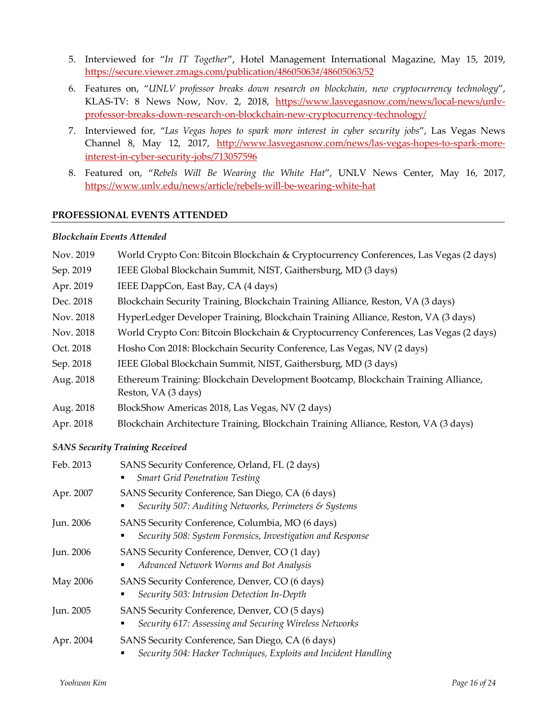- 5. Interviewed for "*In IT Together*", Hotel Management International Magazine, May 15, 2019, https://secure.viewer.zmags.com/publication/48605063#/48605063/52
- 6. Features on, "*UNLV professor breaks down research on blockchain, new cryptocurrency technology*", KLAS-TV: 8 News Now, Nov. 2, 2018, https://www.lasvegasnow.com/news/local-news/unlvprofessor-breaks-down-research-on-blockchain-new-cryptocurrency-technology/
- 7. Interviewed for, "*Las Vegas hopes to spark more interest in cyber security jobs*", Las Vegas News Channel 8, May 12, 2017, http://www.lasvegasnow.com/news/las-vegas-hopes-to-spark-moreinterest-in-cyber-security-jobs/713057596
- 8. Featured on, "*Rebels Will Be Wearing the White Hat*", UNLV News Center, May 16, 2017, https://www.unlv.edu/news/article/rebels-will-be-wearing-white-hat

#### **PROFESSIONAL EVENTS ATTENDED**

#### *Blockchain Events Attended*

| Nov. 2019                              | World Crypto Con: Bitcoin Blockchain & Cryptocurrency Conferences, Las Vegas (2 days)                               |  |
|----------------------------------------|---------------------------------------------------------------------------------------------------------------------|--|
| Sep. 2019                              | IEEE Global Blockchain Summit, NIST, Gaithersburg, MD (3 days)                                                      |  |
| Apr. 2019                              | IEEE DappCon, East Bay, CA (4 days)                                                                                 |  |
| Dec. 2018                              | Blockchain Security Training, Blockchain Training Alliance, Reston, VA (3 days)                                     |  |
| Nov. 2018                              | HyperLedger Developer Training, Blockchain Training Alliance, Reston, VA (3 days)                                   |  |
| Nov. 2018                              | World Crypto Con: Bitcoin Blockchain & Cryptocurrency Conferences, Las Vegas (2 days)                               |  |
| Oct. 2018                              | Hosho Con 2018: Blockchain Security Conference, Las Vegas, NV (2 days)                                              |  |
| Sep. 2018                              | IEEE Global Blockchain Summit, NIST, Gaithersburg, MD (3 days)                                                      |  |
| Aug. 2018                              | Ethereum Training: Blockchain Development Bootcamp, Blockchain Training Alliance,<br>Reston, VA (3 days)            |  |
| Aug. 2018                              | BlockShow Americas 2018, Las Vegas, NV (2 days)                                                                     |  |
| Apr. 2018                              | Blockchain Architecture Training, Blockchain Training Alliance, Reston, VA (3 days)                                 |  |
| <b>SANS Security Training Received</b> |                                                                                                                     |  |
| Feb. 2013                              | SANS Security Conference, Orland, FL (2 days)<br><b>Smart Grid Penetration Testing</b>                              |  |
| Apr. 2007                              | SANS Security Conference, San Diego, CA (6 days)<br>Security 507: Auditing Networks, Perimeters & Systems           |  |
| Jun. 2006                              | SANS Security Conference, Columbia, MO (6 days)<br>Security 508: System Forensics, Investigation and Response<br>п  |  |
| Jun. 2006                              | SANS Security Conference, Denver, CO (1 day)<br>Advanced Network Worms and Bot Analysis                             |  |
| May 2006                               | SANS Security Conference, Denver, CO (6 days)<br>Security 503: Intrusion Detection In-Depth<br>٠                    |  |
| Jun. 2005                              | SANS Security Conference, Denver, CO (5 days)<br>Security 617: Assessing and Securing Wireless Networks             |  |
| Apr. 2004                              | SANS Security Conference, San Diego, CA (6 days)<br>Security 504: Hacker Techniques, Exploits and Incident Handling |  |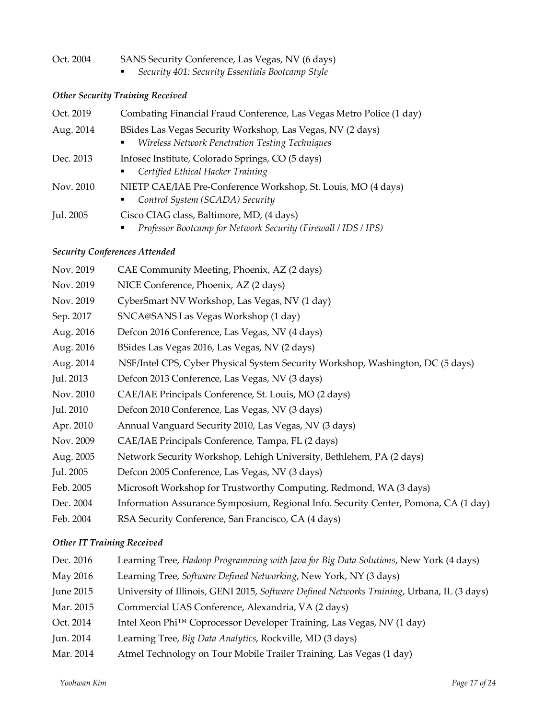# Oct. 2004 SANS Security Conference, Las Vegas, NV (6 days)

§ *Security 401: Security Essentials Bootcamp Style*

### *Other Security Training Received*

| Oct. 2019 | Combating Financial Fraud Conference, Las Vegas Metro Police (1 day)                                               |  |
|-----------|--------------------------------------------------------------------------------------------------------------------|--|
| Aug. 2014 | BSides Las Vegas Security Workshop, Las Vegas, NV (2 days)<br>Wireless Network Penetration Testing Techniques<br>٠ |  |
| Dec. 2013 | Infosec Institute, Colorado Springs, CO (5 days)<br>Certified Ethical Hacker Training<br>п.                        |  |
| Nov. 2010 | NIETP CAE/IAE Pre-Conference Workshop, St. Louis, MO (4 days)<br>Control System (SCADA) Security<br>٠              |  |
| Jul. 2005 | Cisco CIAG class, Baltimore, MD, (4 days)<br>Professor Bootcamp for Network Security (Firewall / IDS / IPS)<br>٠   |  |

### *Security Conferences Attended*

| CAE Community Meeting, Phoenix, AZ (2 days)                                         |
|-------------------------------------------------------------------------------------|
| NICE Conference, Phoenix, AZ (2 days)                                               |
| CyberSmart NV Workshop, Las Vegas, NV (1 day)                                       |
| SNCA@SANS Las Vegas Workshop (1 day)                                                |
| Defcon 2016 Conference, Las Vegas, NV (4 days)                                      |
| BSides Las Vegas 2016, Las Vegas, NV (2 days)                                       |
| NSF/Intel CPS, Cyber Physical System Security Workshop, Washington, DC (5 days)     |
| Defcon 2013 Conference, Las Vegas, NV (3 days)                                      |
| CAE/IAE Principals Conference, St. Louis, MO (2 days)                               |
| Defcon 2010 Conference, Las Vegas, NV (3 days)                                      |
| Annual Vanguard Security 2010, Las Vegas, NV (3 days)                               |
| CAE/IAE Principals Conference, Tampa, FL (2 days)                                   |
| Network Security Workshop, Lehigh University, Bethlehem, PA (2 days)                |
| Defcon 2005 Conference, Las Vegas, NV (3 days)                                      |
| Microsoft Workshop for Trustworthy Computing, Redmond, WA (3 days)                  |
| Information Assurance Symposium, Regional Info. Security Center, Pomona, CA (1 day) |
| RSA Security Conference, San Francisco, CA (4 days)                                 |
|                                                                                     |

### *Other IT Training Received*

| Dec. 2016 | Learning Tree, Hadoop Programming with Java for Big Data Solutions, New York (4 days)      |
|-----------|--------------------------------------------------------------------------------------------|
| May 2016  | Learning Tree, Software Defined Networking, New York, NY (3 days)                          |
| June 2015 | University of Illinois, GENI 2015, Software Defined Networks Training, Urbana, IL (3 days) |
| Mar. 2015 | Commercial UAS Conference, Alexandria, VA (2 days)                                         |
| Oct. 2014 | Intel Xeon Phi™ Coprocessor Developer Training, Las Vegas, NV (1 day)                      |
| Jun. 2014 | Learning Tree, Big Data Analytics, Rockville, MD (3 days)                                  |
| Mar. 2014 | Atmel Technology on Tour Mobile Trailer Training, Las Vegas (1 day)                        |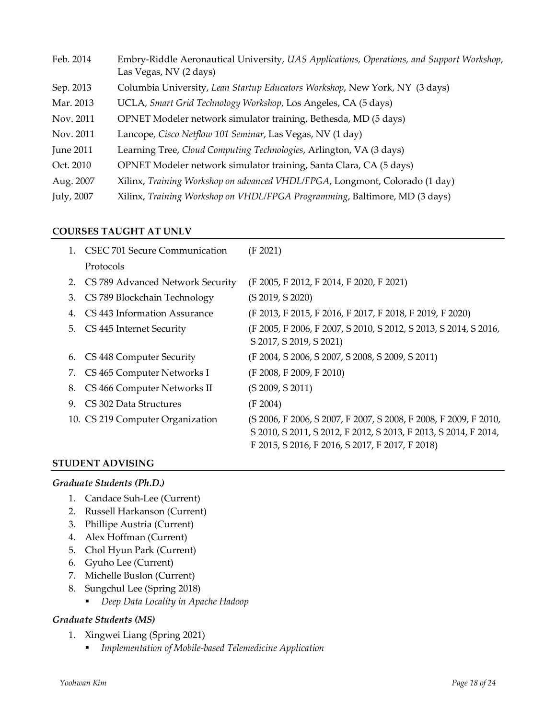| Feb. 2014        | Embry-Riddle Aeronautical University, UAS Applications, Operations, and Support Workshop,<br>Las Vegas, NV (2 days) |
|------------------|---------------------------------------------------------------------------------------------------------------------|
| Sep. 2013        | Columbia University, Lean Startup Educators Workshop, New York, NY (3 days)                                         |
| Mar. 2013        | UCLA, Smart Grid Technology Workshop, Los Angeles, CA (5 days)                                                      |
| Nov. 2011        | OPNET Modeler network simulator training, Bethesda, MD (5 days)                                                     |
| Nov. 2011        | Lancope, Cisco Netflow 101 Seminar, Las Vegas, NV (1 day)                                                           |
| <b>June 2011</b> | Learning Tree, Cloud Computing Technologies, Arlington, VA (3 days)                                                 |
| Oct. 2010        | OPNET Modeler network simulator training, Santa Clara, CA (5 days)                                                  |
| Aug. 2007        | Xilinx, Training Workshop on advanced VHDL/FPGA, Longmont, Colorado (1 day)                                         |
| July, 2007       | Xilinx, Training Workshop on VHDL/FPGA Programming, Baltimore, MD (3 days)                                          |

#### **COURSES TAUGHT AT UNLV**

|    | 1. CSEC 701 Secure Communication    | (F 2021)                                                                                                                                                                               |
|----|-------------------------------------|----------------------------------------------------------------------------------------------------------------------------------------------------------------------------------------|
|    | Protocols                           |                                                                                                                                                                                        |
|    | 2. CS 789 Advanced Network Security | (F 2005, F 2012, F 2014, F 2020, F 2021)                                                                                                                                               |
| 3. | CS 789 Blockchain Technology        | (S 2019, S 2020)                                                                                                                                                                       |
| 4. | CS 443 Information Assurance        | (F 2013, F 2015, F 2016, F 2017, F 2018, F 2019, F 2020)                                                                                                                               |
| 5. | CS 445 Internet Security            | (F 2005, F 2006, F 2007, S 2010, S 2012, S 2013, S 2014, S 2016,                                                                                                                       |
|    |                                     | S 2017, S 2019, S 2021)                                                                                                                                                                |
| 6. | CS 448 Computer Security            | (F 2004, S 2006, S 2007, S 2008, S 2009, S 2011)                                                                                                                                       |
|    | 7. CS 465 Computer Networks I       | (F 2008, F 2009, F 2010)                                                                                                                                                               |
| 8. | CS 466 Computer Networks II         | (S 2009, S 2011)                                                                                                                                                                       |
| 9. | CS 302 Data Structures              | (F 2004)                                                                                                                                                                               |
|    | 10. CS 219 Computer Organization    | (S 2006, F 2006, S 2007, F 2007, S 2008, F 2008, F 2009, F 2010,<br>S 2010, S 2011, S 2012, F 2012, S 2013, F 2013, S 2014, F 2014,<br>F 2015, S 2016, F 2016, S 2017, F 2017, F 2018) |

#### **STUDENT ADVISING**

#### *Graduate Students (Ph.D.)*

- 1. Candace Suh-Lee (Current)
- 2. Russell Harkanson (Current)
- 3. Phillipe Austria (Current)
- 4. Alex Hoffman (Current)
- 5. Chol Hyun Park (Current)
- 6. Gyuho Lee (Current)
- 7. Michelle Buslon (Current)
- 8. Sungchul Lee (Spring 2018)
	- § *Deep Data Locality in Apache Hadoop*

#### *Graduate Students (MS)*

- 1. Xingwei Liang (Spring 2021)
	- § *Implementation of Mobile-based Telemedicine Application*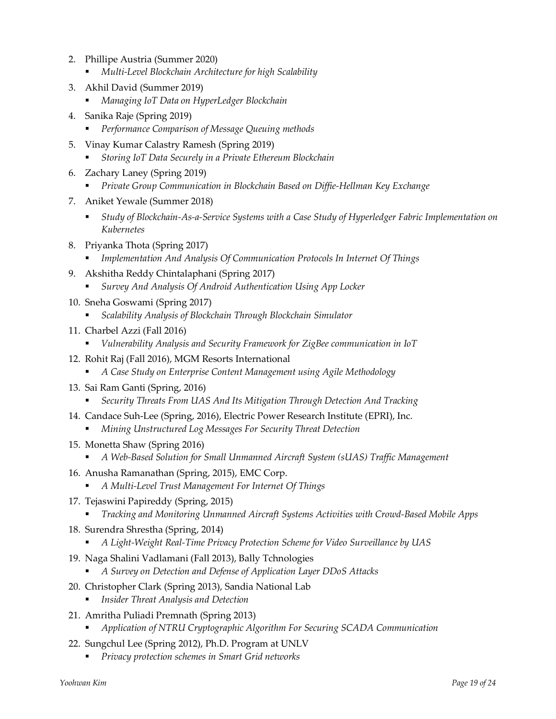- 2. Phillipe Austria (Summer 2020)
	- § *Multi-Level Blockchain Architecture for high Scalability*
- 3. Akhil David (Summer 2019)
	- § *Managing IoT Data on HyperLedger Blockchain*
- 4. Sanika Raje (Spring 2019)
	- § *Performance Comparison of Message Queuing methods*
- 5. Vinay Kumar Calastry Ramesh (Spring 2019)
	- § *Storing IoT Data Securely in a Private Ethereum Blockchain*
- 6. Zachary Laney (Spring 2019)
	- § *Private Group Communication in Blockchain Based on Diffie-Hellman Key Exchange*
- 7. Aniket Yewale (Summer 2018)
	- § *Study of Blockchain-As-a-Service Systems with a Case Study of Hyperledger Fabric Implementation on Kubernetes*
- 8. Priyanka Thota (Spring 2017)
	- § *Implementation And Analysis Of Communication Protocols In Internet Of Things*
- 9. Akshitha Reddy Chintalaphani (Spring 2017)
	- Survey And Analysis Of Android Authentication Using App Locker
- 10. Sneha Goswami (Spring 2017)
	- § *Scalability Analysis of Blockchain Through Blockchain Simulator*
- 11. Charbel Azzi (Fall 2016)
	- § *Vulnerability Analysis and Security Framework for ZigBee communication in IoT*
- 12. Rohit Raj (Fall 2016), MGM Resorts International
	- § *A Case Study on Enterprise Content Management using Agile Methodology*
- 13. Sai Ram Ganti (Spring, 2016)
	- Security Threats From UAS And Its Mitigation Through Detection And Tracking
- 14. Candace Suh-Lee (Spring, 2016), Electric Power Research Institute (EPRI), Inc.
	- § *Mining Unstructured Log Messages For Security Threat Detection*
- 15. Monetta Shaw (Spring 2016)
	- § *A Web-Based Solution for Small Unmanned Aircraft System (sUAS) Traffic Management*
- 16. Anusha Ramanathan (Spring, 2015), EMC Corp.
	- § *A Multi-Level Trust Management For Internet Of Things*
- 17. Tejaswini Papireddy (Spring, 2015)
	- § *Tracking and Monitoring Unmanned Aircraft Systems Activities with Crowd-Based Mobile Apps*
- 18. Surendra Shrestha (Spring, 2014)
	- § *A Light-Weight Real-Time Privacy Protection Scheme for Video Surveillance by UAS*
- 19. Naga Shalini Vadlamani (Fall 2013), Bally Tchnologies
	- § *A Survey on Detection and Defense of Application Layer DDoS Attacks*
- 20. Christopher Clark (Spring 2013), Sandia National Lab
	- § *Insider Threat Analysis and Detection*
- 21. Amritha Puliadi Premnath (Spring 2013)
	- § *Application of NTRU Cryptographic Algorithm For Securing SCADA Communication*
- 22. Sungchul Lee (Spring 2012), Ph.D. Program at UNLV
	- § *Privacy protection schemes in Smart Grid networks*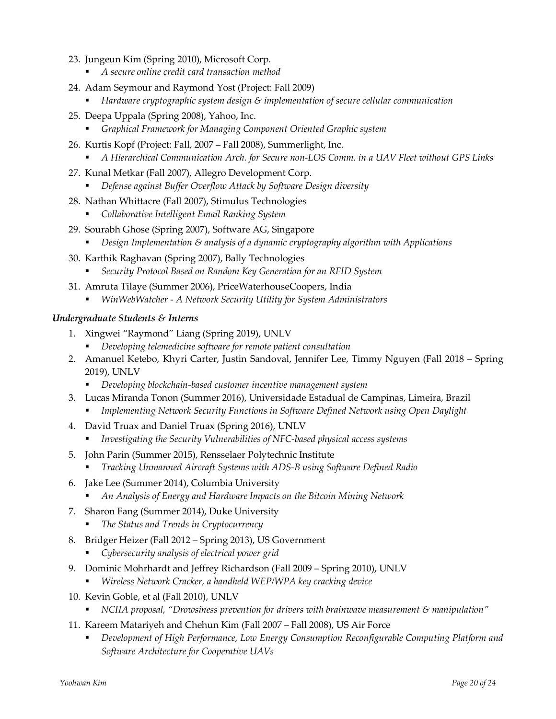- 23. Jungeun Kim (Spring 2010), Microsoft Corp.
	- § *A secure online credit card transaction method*
- 24. Adam Seymour and Raymond Yost (Project: Fall 2009)
	- § *Hardware cryptographic system design & implementation of secure cellular communication*
- 25. Deepa Uppala (Spring 2008), Yahoo, Inc.
	- § *Graphical Framework for Managing Component Oriented Graphic system*
- 26. Kurtis Kopf (Project: Fall, 2007 Fall 2008), Summerlight, Inc.
	- § *A Hierarchical Communication Arch. for Secure non-LOS Comm. in a UAV Fleet without GPS Links*
- 27. Kunal Metkar (Fall 2007), Allegro Development Corp.
	- § *Defense against Buffer Overflow Attack by Software Design diversity*
- 28. Nathan Whittacre (Fall 2007), Stimulus Technologies
	- § *Collaborative Intelligent Email Ranking System*
- 29. Sourabh Ghose (Spring 2007), Software AG, Singapore
	- § *Design Implementation & analysis of a dynamic cryptography algorithm with Applications*
- 30. Karthik Raghavan (Spring 2007), Bally Technologies
	- § *Security Protocol Based on Random Key Generation for an RFID System*
- 31. Amruta Tilaye (Summer 2006), PriceWaterhouseCoopers, India
	- § *WinWebWatcher - A Network Security Utility for System Administrators*

### *Undergraduate Students & Interns*

- 1. Xingwei "Raymond" Liang (Spring 2019), UNLV
	- § *Developing telemedicine software for remote patient consultation*
- 2. Amanuel Ketebo, Khyri Carter, Justin Sandoval, Jennifer Lee, Timmy Nguyen (Fall 2018 Spring 2019), UNLV
	- § *Developing blockchain-based customer incentive management system*
- 3. Lucas Miranda Tonon (Summer 2016), Universidade Estadual de Campinas, Limeira, Brazil
	- § *Implementing Network Security Functions in Software Defined Network using Open Daylight*
- 4. David Truax and Daniel Truax (Spring 2016), UNLV
	- § *Investigating the Security Vulnerabilities of NFC-based physical access systems*
- 5. John Parin (Summer 2015), Rensselaer Polytechnic Institute
	- § *Tracking Unmanned Aircraft Systems with ADS-B using Software Defined Radio*
- 6. Jake Lee (Summer 2014), Columbia University
	- § *An Analysis of Energy and Hardware Impacts on the Bitcoin Mining Network*
- 7. Sharon Fang (Summer 2014), Duke University
	- § *The Status and Trends in Cryptocurrency*
- 8. Bridger Heizer (Fall 2012 Spring 2013), US Government
	- § *Cybersecurity analysis of electrical power grid*
- 9. Dominic Mohrhardt and Jeffrey Richardson (Fall 2009 Spring 2010), UNLV
	- § *Wireless Network Cracker, a handheld WEP/WPA key cracking device*
- 10. Kevin Goble, et al (Fall 2010), UNLV
	- § *NCIIA proposal, "Drowsiness prevention for drivers with brainwave measurement & manipulation"*
- 11. Kareem Matariyeh and Chehun Kim (Fall 2007 Fall 2008), US Air Force
	- § *Development of High Performance, Low Energy Consumption Reconfigurable Computing Platform and Software Architecture for Cooperative UAVs*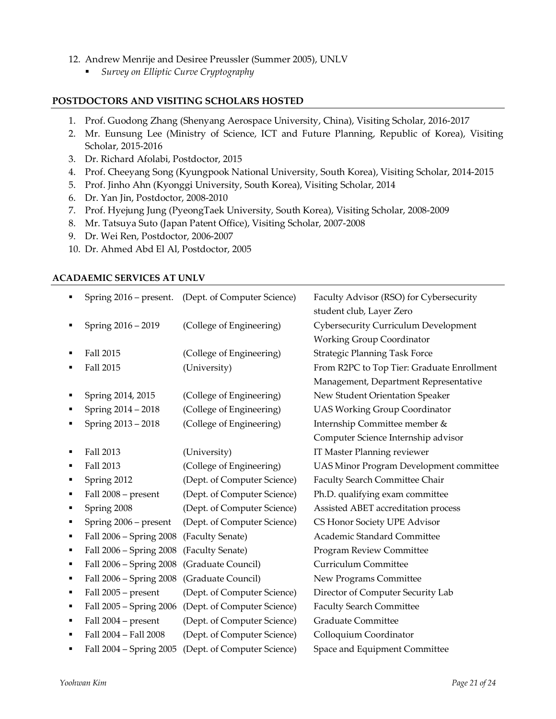- 12. Andrew Menrije and Desiree Preussler (Summer 2005), UNLV
	- § *Survey on Elliptic Curve Cryptography*

#### **POSTDOCTORS AND VISITING SCHOLARS HOSTED**

- 1. Prof. Guodong Zhang (Shenyang Aerospace University, China), Visiting Scholar, 2016-2017
- 2. Mr. Eunsung Lee (Ministry of Science, ICT and Future Planning, Republic of Korea), Visiting Scholar, 2015-2016
- 3. Dr. Richard Afolabi, Postdoctor, 2015
- 4. Prof. Cheeyang Song (Kyungpook National University, South Korea), Visiting Scholar, 2014-2015
- 5. Prof. Jinho Ahn (Kyonggi University, South Korea), Visiting Scholar, 2014
- 6. Dr. Yan Jin, Postdoctor, 2008-2010
- 7. Prof. Hyejung Jung (PyeongTaek University, South Korea), Visiting Scholar, 2008-2009
- 8. Mr. Tatsuya Suto (Japan Patent Office), Visiting Scholar, 2007-2008
- 9. Dr. Wei Ren, Postdoctor, 2006-2007
- 10. Dr. Ahmed Abd El Al, Postdoctor, 2005

#### **ACADAEMIC SERVICES AT UNLV**

| ٠ |                         | Spring 2016 – present. (Dept. of Computer Science) | Faculty Advisor (RSO) for Cybersecurity        |
|---|-------------------------|----------------------------------------------------|------------------------------------------------|
|   |                         |                                                    | student club, Layer Zero                       |
| п | Spring 2016 - 2019      | (College of Engineering)                           | <b>Cybersecurity Curriculum Development</b>    |
|   |                         |                                                    | <b>Working Group Coordinator</b>               |
| ٠ | Fall 2015               | (College of Engineering)                           | <b>Strategic Planning Task Force</b>           |
|   | Fall 2015               | (University)                                       | From R2PC to Top Tier: Graduate Enrollment     |
|   |                         |                                                    | Management, Department Representative          |
| п | Spring 2014, 2015       | (College of Engineering)                           | New Student Orientation Speaker                |
| ٠ | Spring 2014 - 2018      | (College of Engineering)                           | <b>UAS Working Group Coordinator</b>           |
| ٠ | Spring 2013 - 2018      | (College of Engineering)                           | Internship Committee member &                  |
|   |                         |                                                    | Computer Science Internship advisor            |
| п | Fall 2013               | (University)                                       | IT Master Planning reviewer                    |
| ٠ | Fall 2013               | (College of Engineering)                           | <b>UAS Minor Program Development committee</b> |
| ٠ | Spring 2012             | (Dept. of Computer Science)                        | Faculty Search Committee Chair                 |
| ٠ | Fall 2008 - present     | (Dept. of Computer Science)                        | Ph.D. qualifying exam committee                |
| ٠ | Spring 2008             | (Dept. of Computer Science)                        | Assisted ABET accreditation process            |
| ٠ | Spring 2006 - present   | (Dept. of Computer Science)                        | CS Honor Society UPE Advisor                   |
| ٠ | Fall 2006 - Spring 2008 | (Faculty Senate)                                   | Academic Standard Committee                    |
| ٠ | Fall 2006 - Spring 2008 | (Faculty Senate)                                   | <b>Program Review Committee</b>                |
| ٠ | Fall 2006 - Spring 2008 | (Graduate Council)                                 | <b>Curriculum Committee</b>                    |
| п | Fall 2006 - Spring 2008 | (Graduate Council)                                 | New Programs Committee                         |
| ٠ | Fall 2005 - present     | (Dept. of Computer Science)                        | Director of Computer Security Lab              |
| ٠ | Fall 2005 - Spring 2006 | (Dept. of Computer Science)                        | <b>Faculty Search Committee</b>                |
| ٠ | Fall 2004 - present     | (Dept. of Computer Science)                        | <b>Graduate Committee</b>                      |
| ٠ | Fall 2004 - Fall 2008   | (Dept. of Computer Science)                        | Colloquium Coordinator                         |
|   | Fall 2004 - Spring 2005 | (Dept. of Computer Science)                        | Space and Equipment Committee                  |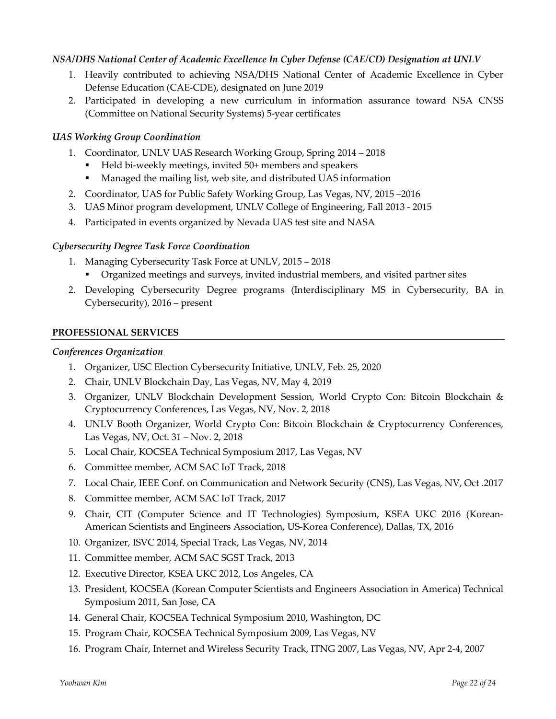#### *NSA/DHS National Center of Academic Excellence In Cyber Defense (CAE/CD) Designation at UNLV*

- 1. Heavily contributed to achieving NSA/DHS National Center of Academic Excellence in Cyber Defense Education (CAE-CDE), designated on June 2019
- 2. Participated in developing a new curriculum in information assurance toward NSA CNSS (Committee on National Security Systems) 5-year certificates

#### *UAS Working Group Coordination*

- 1. Coordinator, UNLV UAS Research Working Group, Spring 2014 2018
	- § Held bi-weekly meetings, invited 50+ members and speakers
	- Managed the mailing list, web site, and distributed UAS information
- 2. Coordinator, UAS for Public Safety Working Group, Las Vegas, NV, 2015 –2016
- 3. UAS Minor program development, UNLV College of Engineering, Fall 2013 2015
- 4. Participated in events organized by Nevada UAS test site and NASA

#### *Cybersecurity Degree Task Force Coordination*

- 1. Managing Cybersecurity Task Force at UNLV, 2015 2018
	- § Organized meetings and surveys, invited industrial members, and visited partner sites
- 2. Developing Cybersecurity Degree programs (Interdisciplinary MS in Cybersecurity, BA in Cybersecurity), 2016 – present

#### **PROFESSIONAL SERVICES**

#### *Conferences Organization*

- 1. Organizer, USC Election Cybersecurity Initiative, UNLV, Feb. 25, 2020
- 2. Chair, UNLV Blockchain Day, Las Vegas, NV, May 4, 2019
- 3. Organizer, UNLV Blockchain Development Session, World Crypto Con: Bitcoin Blockchain & Cryptocurrency Conferences, Las Vegas, NV, Nov. 2, 2018
- 4. UNLV Booth Organizer, World Crypto Con: Bitcoin Blockchain & Cryptocurrency Conferences, Las Vegas, NV, Oct. 31 – Nov. 2, 2018
- 5. Local Chair, KOCSEA Technical Symposium 2017, Las Vegas, NV
- 6. Committee member, ACM SAC IoT Track, 2018
- 7. Local Chair, IEEE Conf. on Communication and Network Security (CNS), Las Vegas, NV, Oct .2017
- 8. Committee member, ACM SAC IoT Track, 2017
- 9. Chair, CIT (Computer Science and IT Technologies) Symposium, KSEA UKC 2016 (Korean-American Scientists and Engineers Association, US-Korea Conference), Dallas, TX, 2016
- 10. Organizer, ISVC 2014, Special Track, Las Vegas, NV, 2014
- 11. Committee member, ACM SAC SGST Track, 2013
- 12. Executive Director, KSEA UKC 2012, Los Angeles, CA
- 13. President, KOCSEA (Korean Computer Scientists and Engineers Association in America) Technical Symposium 2011, San Jose, CA
- 14. General Chair, KOCSEA Technical Symposium 2010, Washington, DC
- 15. Program Chair, KOCSEA Technical Symposium 2009, Las Vegas, NV
- 16. Program Chair, Internet and Wireless Security Track, ITNG 2007, Las Vegas, NV, Apr 2-4, 2007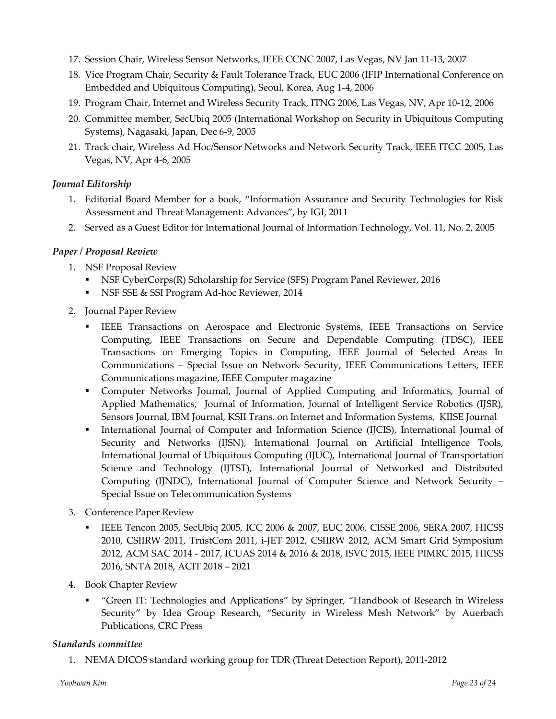- 17. Session Chair, Wireless Sensor Networks, IEEE CCNC 2007, Las Vegas, NV Jan 11-13, 2007
- 18. Vice Program Chair, Security & Fault Tolerance Track, EUC 2006 (IFIP International Conference on Embedded and Ubiquitous Computing), Seoul, Korea, Aug 1-4, 2006
- 19. Program Chair, Internet and Wireless Security Track, ITNG 2006, Las Vegas, NV, Apr 10-12, 2006
- 20. Committee member, SecUbiq 2005 (International Workshop on Security in Ubiquitous Computing Systems), Nagasaki, Japan, Dec 6-9, 2005
- 21. Track chair, Wireless Ad Hoc/Sensor Networks and Network Security Track, IEEE ITCC 2005, Las Vegas, NV, Apr 4-6, 2005

### *Journal Editorship*

- 1. Editorial Board Member for a book, "Information Assurance and Security Technologies for Risk Assessment and Threat Management: Advances", by IGI, 2011
- 2. Served as a Guest Editor for International Journal of Information Technology, Vol. 11, No. 2, 2005

#### *Paper / Proposal Review*

- 1. NSF Proposal Review
	- § NSF CyberCorps(R) Scholarship for Service (SFS) Program Panel Reviewer, 2016
	- NSF SSE & SSI Program Ad-hoc Reviewer, 2014
- 2. Journal Paper Review
	- IEEE Transactions on Aerospace and Electronic Systems, IEEE Transactions on Service Computing, IEEE Transactions on Secure and Dependable Computing (TDSC), IEEE Transactions on Emerging Topics in Computing, IEEE Journal of Selected Areas In Communications – Special Issue on Network Security, IEEE Communications Letters, IEEE Communications magazine, IEEE Computer magazine
	- § Computer Networks Journal, Journal of Applied Computing and Informatics, Journal of Applied Mathematics, Journal of Information, Journal of Intelligent Service Robotics (IJSR), Sensors Journal, IBM Journal, KSII Trans. on Internet and Information Systems, KIISE Journal
	- International Journal of Computer and Information Science (IJCIS), International Journal of Security and Networks (IJSN), International Journal on Artificial Intelligence Tools, International Journal of Ubiquitous Computing (IJUC), International Journal of Transportation Science and Technology (IJTST), International Journal of Networked and Distributed Computing (IJNDC), International Journal of Computer Science and Network Security – Special Issue on Telecommunication Systems
- 3. Conference Paper Review
	- § IEEE Tencon 2005, SecUbiq 2005, ICC 2006 & 2007, EUC 2006, CISSE 2006, SERA 2007, HICSS 2010, CSIIRW 2011, TrustCom 2011, i-JET 2012, CSIIRW 2012, ACM Smart Grid Symposium 2012, ACM SAC 2014 - 2017, ICUAS 2014 & 2016 & 2018, ISVC 2015, IEEE PIMRC 2015, HICSS 2016, SNTA 2018, ACIT 2018 – 2021
- 4. Book Chapter Review
	- § "Green IT: Technologies and Applications" by Springer, "Handbook of Research in Wireless Security" by Idea Group Research, "Security in Wireless Mesh Network" by Auerbach Publications, CRC Press

### *Standards committee*

1. NEMA DICOS standard working group for TDR (Threat Detection Report), 2011-2012